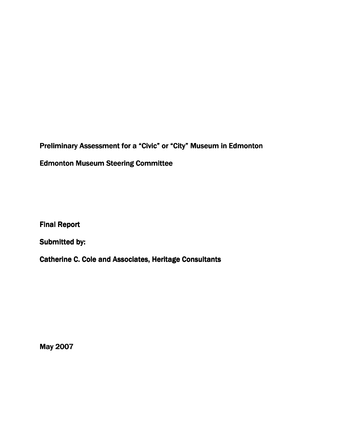Preliminary Assessment for a "Civic" or "City" Museum in Edmonton Edmonton Museum Steering Committee

Final Report

Submitted by:

Catherine C. Cole and Associates, Heritage Consultants

May 2007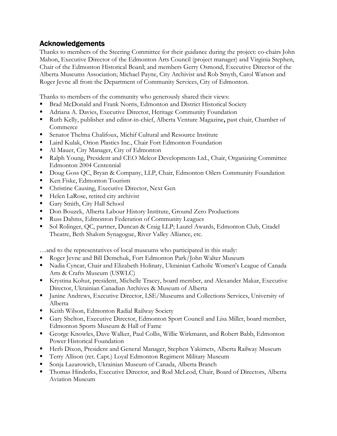## Acknowledgements

Thanks to members of the Steering Committee for their guidance during the project: co-chairs John Mahon, Executive Director of the Edmonton Arts Council (project manager) and Virginia Stephen, Chair of the Edmonton Historical Board; and members Gerry Osmond, Executive Director of the Alberta Museums Association; Michael Payne, City Archivist and Rob Smyth, Carol Watson and Roger Jevne all from the Department of Community Services, City of Edmonton.

Thanks to members of the community who generously shared their views:

- Brad McDonald and Frank Norris, Edmonton and District Historical Society
- Adriana A. Davies, Executive Director, Heritage Community Foundation
- Ruth Kelly, publisher and editor-in-chief, Alberta Venture Magazine, past chair, Chamber of Commerce
- Senator Thelma Chalifoux, Michif Cultural and Resource Institute
- Laird Kulak, Orion Plastics Inc., Chair Fort Edmonton Foundation
- Al Mauer, City Manager, City of Edmonton
- Ralph Young, President and CEO Melcor Developments Ltd., Chair, Organizing Committee Edmonton 2004 Centennial
- Doug Goss QC, Bryan & Company, LLP, Chair, Edmonton Oilers Community Foundation
- Ken Fiske, Edmonton Tourism
- Christine Causing, Executive Director, Next Gen
- Helen LaRose, retired city archivist
- Gary Smith, City Hall School
- Don Bouzek, Alberta Labour History Institute, Ground Zero Productions
- Russ Dahms, Edmonton Federation of Community Leagues
- Sol Rolinger, QC, partner, Duncan & Craig LLP; Laurel Awards, Edmonton Club, Citadel Theatre, Beth Shalom Synagogue, River Valley Alliance, etc.

…and to the representatives of local museums who participated in this study:

- Roger Jevne and Bill Demchuk, Fort Edmonton Park/John Walter Museum
- Nadia Cyncar, Chair and Elizabeth Holinaty, Ukrainian Catholic Women's League of Canada Arts & Crafts Museum (USWLC)
- Krystina Kohut, president, Michelle Tracey, board member, and Alexander Makar, Executive Director, Ukrainian Canadian Archives & Museum of Alberta
- Janine Andrews, Executive Director, LSE/Museums and Collections Services, University of Alberta
- Keith Wilson, Edmonton Radial Railway Society
- Gary Shelton, Executive Director, Edmonton Sport Council and Lisa Miller, board member, Edmonton Sports Museum & Hall of Fame
- George Knowles, Dave Walker, Paul Collis, Willie Wirkmann, and Robert Babb, Edmonton Power Historical Foundation
- Herb Dixon, President and General Manager, Stephen Yakimets, Alberta Railway Museum
- Terry Allison (ret. Capt.) Loyal Edmonton Regiment Military Museum
- Sonja Lazarowich, Ukrainian Museum of Canada, Alberta Branch
- Thomas Hinderks, Executive Director, and Rod McLeod, Chair, Board of Directors, Alberta Aviation Museum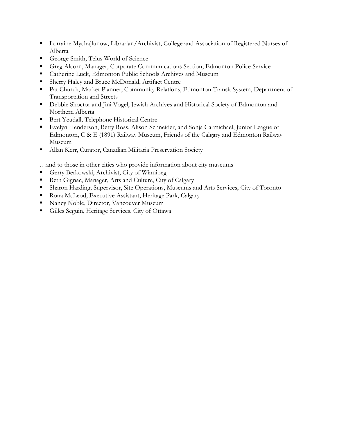- **Lorraine Mychajlunow, Librarian/Archivist, College and Association of Registered Nurses of** Alberta
- George Smith, Telus World of Science
- Greg Alcorn, Manager, Corporate Communications Section, Edmonton Police Service
- Catherine Luck, Edmonton Public Schools Archives and Museum
- Sherry Haley and Bruce McDonald, Artifact Centre
- Pat Church, Market Planner, Community Relations, Edmonton Transit System, Department of Transportation and Streets
- Debbie Shoctor and Jini Vogel, Jewish Archives and Historical Society of Edmonton and Northern Alberta
- **Bert Yeudall, Telephone Historical Centre**
- Evelyn Henderson, Betty Ross, Alison Schneider, and Sonja Carmichael, Junior League of Edmonton, C & E (1891) Railway Museum, Friends of the Calgary and Edmonton Railway Museum
- Allan Kerr, Curator, Canadian Militaria Preservation Society

…and to those in other cities who provide information about city museums

- Gerry Berkowski, Archivist, City of Winnipeg
- Beth Gignac, Manager, Arts and Culture, City of Calgary
- Sharon Harding, Supervisor, Site Operations, Museums and Arts Services, City of Toronto
- Rona McLeod, Executive Assistant, Heritage Park, Calgary
- Nancy Noble, Director, Vancouver Museum
- Gilles Seguin, Heritage Services, City of Ottawa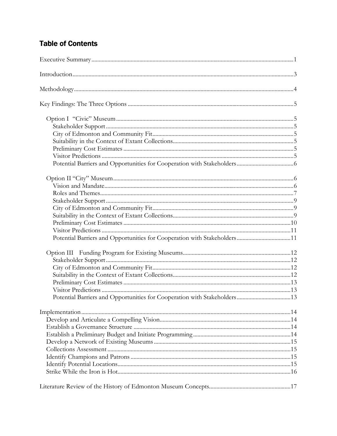# **Table of Contents**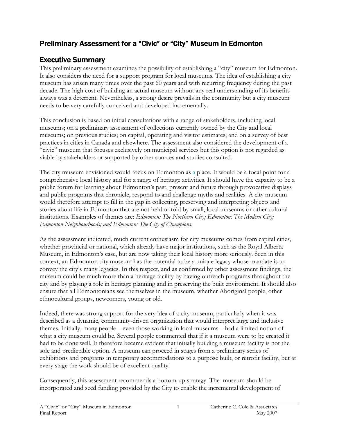# Preliminary Assessment for a "Civic" or "City" Museum in Edmonton

# Executive Summary

This preliminary assessment examines the possibility of establishing a "city" museum for Edmonton. It also considers the need for a support program for local museums. The idea of establishing a city museum has arisen many times over the past 60 years and with recurring frequency during the past decade. The high cost of building an actual museum without any real understanding of its benefits always was a deterrent. Nevertheless, a strong desire prevails in the community but a city museum needs to be very carefully conceived and developed incrementally.

This conclusion is based on initial consultations with a range of stakeholders, including local museums; on a preliminary assessment of collections currently owned by the City and local museums; on previous studies; on capital, operating and visitor estimates; and on a survey of best practices in cities in Canada and elsewhere. The assessment also considered the development of a "civic" museum that focuses exclusively on municipal services but this option is not regarded as viable by stakeholders or supported by other sources and studies consulted.

The city museum envisioned would focus on Edmonton as a place. It would be a focal point for a comprehensive local history and for a range of heritage activities. It should have the capacity to be a public forum for learning about Edmonton's past, present and future through provocative displays and public programs that chronicle, respond to and challenge myths and realities. A city museum would therefore attempt to fill in the gap in collecting, preserving and interpreting objects and stories about life in Edmonton that are not held or told by small, local museums or other cultural institutions. Examples of themes are: *Edmonton: The Northern City; Edmonton: The Modern City;* Edmonton Neighbourhoods; and Edmonton: The City of Champions.

As the assessment indicated, much current enthusiasm for city museums comes from capital cities, whether provincial or national, which already have major institutions, such as the Royal Alberta Museum, in Edmonton's case, but are now taking their local history more seriously. Seen in this context, an Edmonton city museum has the potential to be a unique legacy whose mandate is to convey the city's many legacies. In this respect, and as confirmed by other assessment findings, the museum could be much more than a heritage facility by having outreach programs throughout the city and by playing a role in heritage planning and in preserving the built environment. It should also ensure that all Edmontonians see themselves in the museum, whether Aboriginal people, other ethnocultural groups, newcomers, young or old.

Indeed, there was strong support for the very idea of a city museum, particularly when it was described as a dynamic, community-driven organization that would interpret large and inclusive themes. Initially, many people – even those working in local museums – had a limited notion of what a city museum could be. Several people commented that if it a museum were to be created it had to be done well. It therefore became evident that initially building a museum facility is not the sole and predictable option. A museum can proceed in stages from a preliminary series of exhibitions and programs in temporary accommodations to a purpose built, or retrofit facility, but at every stage the work should be of excellent quality.

Consequently, this assessment recommends a bottom-up strategy. The museum should be incorporated and seed funding provided by the City to enable the incremental development of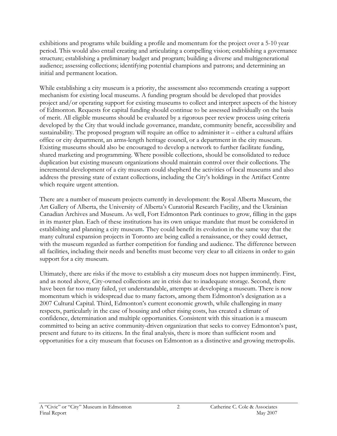exhibitions and programs while building a profile and momentum for the project over a 5-10 year period. This would also entail creating and articulating a compelling vision; establishing a governance structure; establishing a preliminary budget and program; building a diverse and multigenerational audience; assessing collections; identifying potential champions and patrons; and determining an initial and permanent location.

While establishing a city museum is a priority, the assessment also recommends creating a support mechanism for existing local museums. A funding program should be developed that provides project and/or operating support for existing museums to collect and interpret aspects of the history of Edmonton. Requests for capital funding should continue to be assessed individually on the basis of merit. All eligible museums should be evaluated by a rigorous peer review process using criteria developed by the City that would include governance, mandate, community benefit, accessibility and sustainability. The proposed program will require an office to administer it – either a cultural affairs office or city department, an arms-length heritage council, or a department in the city museum. Existing museums should also be encouraged to develop a network to further facilitate funding, shared marketing and programming. Where possible collections, should be consolidated to reduce duplication but existing museum organizations should maintain control over their collections. The incremental development of a city museum could shepherd the activities of local museums and also address the pressing state of extant collections, including the City's holdings in the Artifact Centre which require urgent attention.

There are a number of museum projects currently in development: the Royal Alberta Museum, the Art Gallery of Alberta, the University of Alberta's Curatorial Research Facility, and the Ukrainian Canadian Archives and Museum. As well, Fort Edmonton Park continues to grow, filling in the gaps in its master plan. Each of these institutions has its own unique mandate that must be considered in establishing and planning a city museum. They could benefit its evolution in the same way that the many cultural expansion projects in Toronto are being called a renaissance, or they could detract, with the museum regarded as further competition for funding and audience. The difference between all facilities, including their needs and benefits must become very clear to all citizens in order to gain support for a city museum.

Ultimately, there are risks if the move to establish a city museum does not happen imminently. First, and as noted above, City-owned collections are in crisis due to inadequate storage. Second, there have been far too many failed, yet understandable, attempts at developing a museum. There is now momentum which is widespread due to many factors, among them Edmonton's designation as a 2007 Cultural Capital. Third, Edmonton's current economic growth, while challenging in many respects, particularly in the case of housing and other rising costs, has created a climate of confidence, determination and multiple opportunities. Consistent with this situation is a museum committed to being an active community-driven organization that seeks to convey Edmonton's past, present and future to its citizens. In the final analysis, there is more than sufficient room and opportunities for a city museum that focuses on Edmonton as a distinctive and growing metropolis.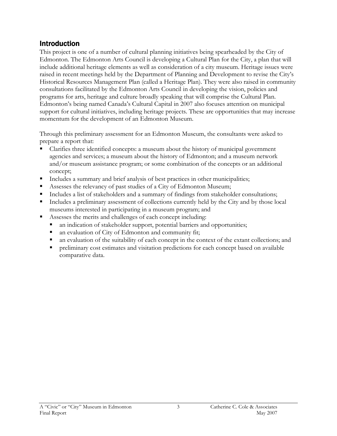# Introduction

This project is one of a number of cultural planning initiatives being spearheaded by the City of Edmonton. The Edmonton Arts Council is developing a Cultural Plan for the City, a plan that will include additional heritage elements as well as consideration of a city museum. Heritage issues were raised in recent meetings held by the Department of Planning and Development to revise the City's Historical Resources Management Plan (called a Heritage Plan). They were also raised in community consultations facilitated by the Edmonton Arts Council in developing the vision, policies and programs for arts, heritage and culture broadly speaking that will comprise the Cultural Plan. Edmonton's being named Canada's Cultural Capital in 2007 also focuses attention on municipal support for cultural initiatives, including heritage projects. These are opportunities that may increase momentum for the development of an Edmonton Museum.

Through this preliminary assessment for an Edmonton Museum, the consultants were asked to prepare a report that:

- Clarifies three identified concepts: a museum about the history of municipal government agencies and services; a museum about the history of Edmonton; and a museum network and/or museum assistance program; or some combination of the concepts or an additional concept;
- Includes a summary and brief analysis of best practices in other municipalities;
- Assesses the relevancy of past studies of a City of Edmonton Museum;
- Includes a list of stakeholders and a summary of findings from stakeholder consultations;
- Includes a preliminary assessment of collections currently held by the City and by those local museums interested in participating in a museum program; and
- Assesses the merits and challenges of each concept including:
	- an indication of stakeholder support, potential barriers and opportunities;
	- an evaluation of City of Edmonton and community fit;
	- an evaluation of the suitability of each concept in the context of the extant collections; and
	- **PERIMINATE:** preliminary cost estimates and visitation predictions for each concept based on available comparative data.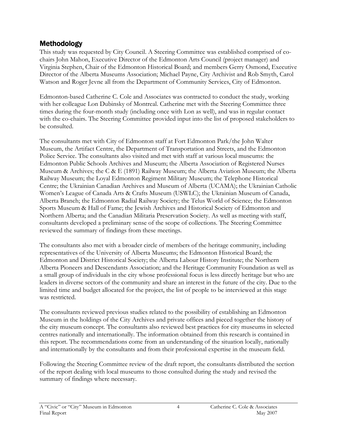# Methodology

This study was requested by City Council. A Steering Committee was established comprised of cochairs John Mahon, Executive Director of the Edmonton Arts Council (project manager) and Virginia Stephen, Chair of the Edmonton Historical Board; and members Gerry Osmond, Executive Director of the Alberta Museums Association; Michael Payne, City Archivist and Rob Smyth, Carol Watson and Roger Jevne all from the Department of Community Services, City of Edmonton.

Edmonton-based Catherine C. Cole and Associates was contracted to conduct the study, working with her colleague Lon Dubinsky of Montreal. Catherine met with the Steering Committee three times during the four-month study (including once with Lon as well), and was in regular contact with the co-chairs. The Steering Committee provided input into the list of proposed stakeholders to be consulted.

The consultants met with City of Edmonton staff at Fort Edmonton Park/the John Walter Museum, the Artifact Centre, the Department of Transportation and Streets, and the Edmonton Police Service. The consultants also visited and met with staff at various local museums: the Edmonton Public Schools Archives and Museum; the Alberta Association of Registered Nurses Museum & Archives; the C & E (1891) Railway Museum; the Alberta Aviation Museum; the Alberta Railway Museum; the Loyal Edmonton Regiment Military Museum; the Telephone Historical Centre; the Ukrainian Canadian Archives and Museum of Alberta (UCAMA); the Ukrainian Catholic Women's League of Canada Arts & Crafts Museum (USWLC); the Ukrainian Museum of Canada, Alberta Branch; the Edmonton Radial Railway Society; the Telus World of Science; the Edmonton Sports Museum & Hall of Fame; the Jewish Archives and Historical Society of Edmonton and Northern Alberta; and the Canadian Militaria Preservation Society. As well as meeting with staff, consultants developed a preliminary sense of the scope of collections. The Steering Committee reviewed the summary of findings from these meetings.

The consultants also met with a broader circle of members of the heritage community, including representatives of the University of Alberta Museums; the Edmonton Historical Board; the Edmonton and District Historical Society; the Alberta Labour History Institute; the Northern Alberta Pioneers and Descendants Association; and the Heritage Community Foundation as well as a small group of individuals in the city whose professional focus is less directly heritage but who are leaders in diverse sectors of the community and share an interest in the future of the city. Due to the limited time and budget allocated for the project, the list of people to be interviewed at this stage was restricted.

The consultants reviewed previous studies related to the possibility of establishing an Edmonton Museum in the holdings of the City Archives and private offices and pieced together the history of the city museum concept. The consultants also reviewed best practices for city museums in selected centres nationally and internationally. The information obtained from this research is contained in this report. The recommendations come from an understanding of the situation locally, nationally and internationally by the consultants and from their professional expertise in the museum field.

Following the Steering Committee review of the draft report, the consultants distributed the section of the report dealing with local museums to those consulted during the study and revised the summary of findings where necessary.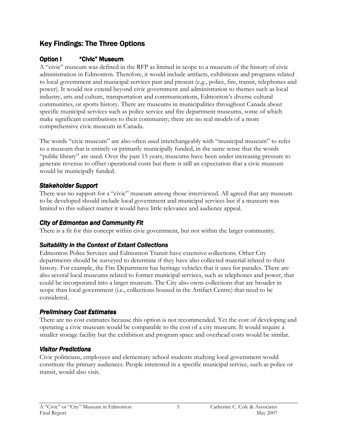# Key Findings: The Three Options

## Option I "Civic" Museum

A "civic" museum was defined in the RFP as limited in scope to a museum of the history of civic administration in Edmonton. Therefore, it would include artifacts, exhibitions and programs related to local government and municipal services past and present (e.g., police, fire, transit, telephones and power). It would not extend beyond civic government and administration to themes such as local industry, arts and culture, transportation and communications, Edmonton's diverse cultural communities, or sports history. There are museums in municipalities throughout Canada about specific municipal services such as police service and fire department museums, some of which make significant contributions to their community; there are no real models of a more comprehensive civic museum in Canada.

The words "civic museum" are also often used interchangeably with "municipal museum" to refer to a museum that is entirely or primarily municipally funded, in the same sense that the words "public library" are used. Over the past 15 years, museums have been under increasing pressure to generate revenue to offset operational costs but there is still an expectation that a civic museum would be municipally funded.

### Stakeholder Support

There was no support for a "civic" museum among those interviewed. All agreed that any museum to be developed should include local government and municipal services but if a museum was limited to this subject matter it would have little relevance and audience appeal.

### City of Edmonton and Community Fit

There is a fit for this concept within civic government, but not within the larger community.

## Suitability in the Context of Extant Collections

Edmonton Police Services and Edmonton Transit have extensive collections. Other City departments should be surveyed to determine if they have also collected material related to their history. For example, the Fire Department has heritage vehicles that it uses for parades. There are also several local museums related to former municipal services, such as telephones and power, that could be incorporated into a larger museum. The City also owns collections that are broader in scope than local government (i.e., collections housed in the Artifact Centre) that need to be considered.

## Preliminary Cost Estimates

There are no cost estimates because this option is not recommended. Yet the cost of developing and operating a civic museum would be comparable to the cost of a city museum. It would require a smaller storage facility but the exhibition and program space and overhead costs would be similar.

### Visitor Predictions

Civic politicians, employees and elementary school students studying local government would constitute the primary audiences. People interested in a specific municipal service, such as police or transit, would also visit.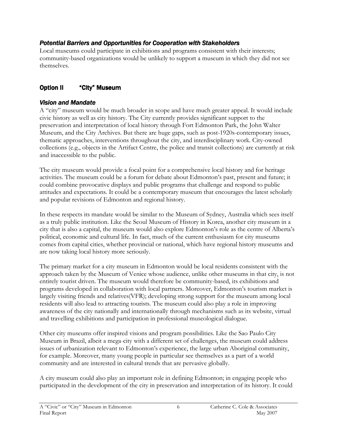### Potential Barriers and Opportunities for Cooperation with Stakeholders

Local museums could participate in exhibitions and programs consistent with their interests; community-based organizations would be unlikely to support a museum in which they did not see themselves.

## **Option II "City" Museum**

### Vision and Mandate

A "city" museum would be much broader in scope and have much greater appeal. It would include civic history as well as city history. The City currently provides significant support to the preservation and interpretation of local history through Fort Edmonton Park, the John Walter Museum, and the City Archives. But there are huge gaps, such as post-1920s-contemporary issues, thematic approaches, interventions throughout the city, and interdisciplinary work. City-owned collections (e.g., objects in the Artifact Centre, the police and transit collections) are currently at risk and inaccessible to the public.

The city museum would provide a focal point for a comprehensive local history and for heritage activities. The museum could be a forum for debate about Edmonton's past, present and future; it could combine provocative displays and public programs that challenge and respond to public attitudes and expectations. It could be a contemporary museum that encourages the latest scholarly and popular revisions of Edmonton and regional history.

In these respects its mandate would be similar to the Museum of Sydney, Australia which sees itself as a truly public institution. Like the Seoul Museum of History in Korea, another city museum in a city that is also a capital, the museum would also explore Edmonton's role as the centre of Alberta's political, economic and cultural life. In fact, much of the current enthusiasm for city museums comes from capital cities, whether provincial or national, which have regional history museums and are now taking local history more seriously.

The primary market for a city museum in Edmonton would be local residents consistent with the approach taken by the Museum of Venice whose audience, unlike other museums in that city, is not entirely tourist driven. The museum would therefore be community-based, its exhibitions and programs developed in collaboration with local partners. Moreover, Edmonton's tourism market is largely visiting friends and relatives(VFR); developing strong support for the museum among local residents will also lead to attracting tourists. The museum could also play a role in improving awareness of the city nationally and internationally through mechanisms such as its website, virtual and travelling exhibitions and participation in professional museological dialogue.

Other city museums offer inspired visions and program possibilities. Like the Sao Paulo City Museum in Brazil, albeit a mega-city with a different set of challenges, the museum could address issues of urbanization relevant to Edmonton's experience, the large urban Aboriginal community, for example. Moreover, many young people in particular see themselves as a part of a world community and are interested in cultural trends that are pervasive globally.

A city museum could also play an important role in defining Edmonton; in engaging people who participated in the development of the city in preservation and interpretation of its history. It could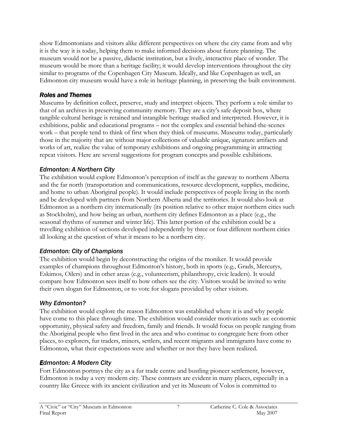show Edmontonians and visitors alike different perspectives on where the city came from and why it is the way it is today, helping them to make informed decisions about future planning. The museum would not be a passive, didactic institution, but a lively, interactive place of wonder. The museum would be more than a heritage facility; it would develop interventions throughout the city similar to programs of the Copenhagen City Museum. Ideally, and like Copenhagen as well, an Edmonton city museum would have a role in heritage planning, in preserving the built environment.

### Roles and Themes

Museums by definition collect, preserve, study and interpret objects. They perform a role similar to that of an archives in preserving community memory. They are a city's safe deposit box, where tangible cultural heritage is retained and intangible heritage studied and interpreted. However, it is exhibitions, public and educational programs – not the complex and essential behind-the-scenes work – that people tend to think of first when they think of museums. Museums today, particularly those in the majority that are without major collections of valuable unique, signature artifacts and works of art, realize the value of temporary exhibitions and ongoing programming in attracting repeat visitors. Here are several suggestions for program concepts and possible exhibitions.

## Edmonton: A Northern City

The exhibition would explore Edmonton's perception of itself as the gateway to northern Alberta and the far north (transportation and communications, resource development, supplies, medicine, and home to urban Aboriginal people). It would include perspectives of people living in the north and be developed with partners from Northern Alberta and the territories. It would also look at Edmonton as a northern city internationally (its position relative to other major northern cities such as Stockholm), and how being an urban, northern city defines Edmonton as a place (e.g., the seasonal rhythms of summer and winter life). This latter portion of the exhibition could be a travelling exhibition of sections developed independently by three or four different northern cities all looking at the question of what it means to be a northern city.

## Edmonton: City of Champions

The exhibition would begin by deconstructing the origins of the moniker. It would provide examples of champions throughout Edmonton's history, both in sports (e.g., Grads, Mercurys, Eskimos, Oilers) and in other areas (e.g., volunteerism, philanthropy, civic leaders). It would compare how Edmonton sees itself to how others see the city. Visitors would be invited to write their own slogan for Edmonton, or to vote for slogans provided by other visitors.

## Why Edmonton?

The exhibition would explore the reason Edmonton was established where it is and why people have come to this place through time. The exhibition would consider motivations such as: economic opportunity, physical safety and freedom, family and friends. It would focus on people ranging from the Aboriginal people who first lived in the area and who continue to congregate here from other places, to explorers, fur traders, miners, settlers, and recent migrants and immigrants have come to Edmonton, what their expectations were and whether or not they have been realized.

## **Edmonton: A Modern City**

Fort Edmonton portrays the city as a fur trade centre and bustling pioneer settlement, however, Edmonton is today a very modern city. These contrasts are evident in many places, especially in a country like Greece with its ancient civilization and yet its Museum of Volos is committed to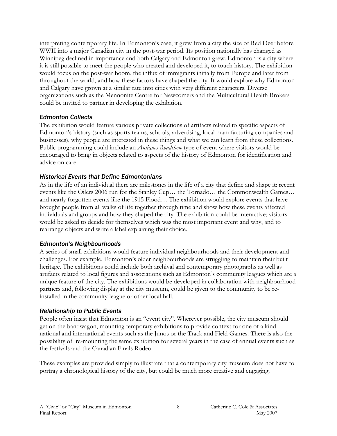interpreting contemporary life. In Edmonton's case, it grew from a city the size of Red Deer before WWII into a major Canadian city in the post-war period. Its position nationally has changed as Winnipeg declined in importance and both Calgary and Edmonton grew. Edmonton is a city where it is still possible to meet the people who created and developed it, to touch history. The exhibition would focus on the post-war boom, the influx of immigrants initially from Europe and later from throughout the world, and how these factors have shaped the city. It would explore why Edmonton and Calgary have grown at a similar rate into cities with very different characters. Diverse organizations such as the Mennonite Centre for Newcomers and the Multicultural Health Brokers could be invited to partner in developing the exhibition.

### Edmonton Collects

The exhibition would feature various private collections of artifacts related to specific aspects of Edmonton's history (such as sports teams, schools, advertising, local manufacturing companies and businesses), why people are interested in these things and what we can learn from these collections. Public programming could include an *Antiques Roadshow* type of event where visitors would be encouraged to bring in objects related to aspects of the history of Edmonton for identification and advice on care.

### Historical Events that Define Edmontonians

As in the life of an individual there are milestones in the life of a city that define and shape it: recent events like the Oilers 2006 run for the Stanley Cup… the Tornado… the Commonwealth Games… and nearly forgotten events like the 1915 Flood… The exhibition would explore events that have brought people from all walks of life together through time and show how these events affected individuals and groups and how they shaped the city. The exhibition could be interactive; visitors would be asked to decide for themselves which was the most important event and why, and to rearrange objects and write a label explaining their choice.

#### Edmonton's Neighbourhoods

A series of small exhibitions would feature individual neighbourhoods and their development and challenges. For example, Edmonton's older neighbourhoods are struggling to maintain their built heritage. The exhibitions could include both archival and contemporary photographs as well as artifacts related to local figures and associations such as Edmonton's community leagues which are a unique feature of the city. The exhibitions would be developed in collaboration with neighbourhood partners and, following display at the city museum, could be given to the community to be reinstalled in the community league or other local hall.

### Relationship to Public Events

People often insist that Edmonton is an "event city". Wherever possible, the city museum should get on the bandwagon, mounting temporary exhibitions to provide context for one of a kind national and international events such as the Junos or the Track and Field Games. There is also the possibility of re-mounting the same exhibition for several years in the case of annual events such as the festivals and the Canadian Finals Rodeo.

These examples are provided simply to illustrate that a contemporary city museum does not have to portray a chronological history of the city, but could be much more creative and engaging.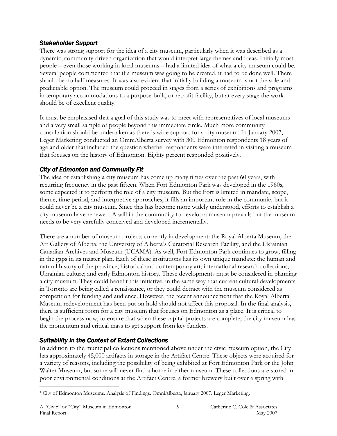#### Stakeholder Support

There was strong support for the idea of a city museum, particularly when it was described as a dynamic, community-driven organization that would interpret large themes and ideas. Initially most people – even those working in local museums – had a limited idea of what a city museum could be. Several people commented that if a museum was going to be created, it had to be done well. There should be no half measures. It was also evident that initially building a museum is not the sole and predictable option. The museum could proceed in stages from a series of exhibitions and programs in temporary accommodations to a purpose-built, or retrofit facility, but at every stage the work should be of excellent quality.

It must be emphasised that a goal of this study was to meet with representatives of local museums and a very small sample of people beyond this immediate circle. Much more community consultation should be undertaken as there is wide support for a city museum. In January 2007, Leger Marketing conducted an OmniAlberta survey with 300 Edmonton respondents 18 years of age and older that included the question whether respondents were interested in visiting a museum that focuses on the history of Edmonton. Eighty percent responded positively.<sup>1</sup>

## City of Edmonton and Community Fit

The idea of establishing a city museum has come up many times over the past 60 years, with recurring frequency in the past fifteen. When Fort Edmonton Park was developed in the 1960s, some expected it to perform the role of a city museum. But the Fort is limited in mandate, scope, theme, time period, and interpretive approaches; it fills an important role in the community but it could never be a city museum. Since this has become more widely understood, efforts to establish a city museum have renewed. A will in the community to develop a museum prevails but the museum needs to be very carefully conceived and developed incrementally.

There are a number of museum projects currently in development: the Royal Alberta Museum, the Art Gallery of Alberta, the University of Alberta's Curatorial Research Facility, and the Ukrainian Canadian Archives and Museum (UCAMA). As well, Fort Edmonton Park continues to grow, filling in the gaps in its master plan. Each of these institutions has its own unique mandate: the human and natural history of the province; historical and contemporary art; international research collections; Ukrainian culture; and early Edmonton history. These developments must be considered in planning a city museum. They could benefit this initiative, in the same way that current cultural developments in Toronto are being called a renaissance, or they could detract with the museum considered as competition for funding and audience. However, the recent announcement that the Royal Alberta Museum redevelopment has been put on hold should not affect this proposal. In the final analysis, there is sufficient room for a city museum that focuses on Edmonton as a place. It is critical to begin the process now, to ensure that when these capital projects are complete, the city museum has the momentum and critical mass to get support from key funders.

### Suitability in the Context of Extant Collections

In addition to the municipal collections mentioned above under the civic museum option, the City has approximately 45,000 artifacts in storage in the Artifact Centre. These objects were acquired for a variety of reasons, including the possibility of being exhibited at Fort Edmonton Park or the John Walter Museum, but some will never find a home in either museum. These collections are stored in poor environmental conditions at the Artifact Centre, a former brewery built over a spring with

 $\overline{a}$ 1 City of Edmonton Museums. Analysis of Findings. OmniAlberta, January 2007. Leger Marketing.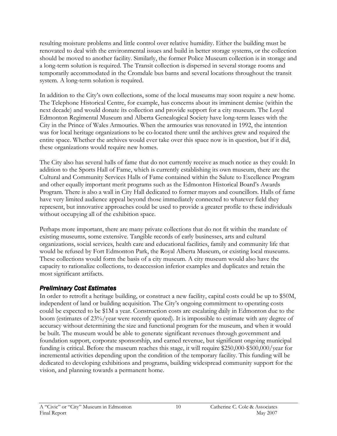resulting moisture problems and little control over relative humidity. Either the building must be renovated to deal with the environmental issues and build in better storage systems, or the collection should be moved to another facility. Similarly, the former Police Museum collection is in storage and a long-term solution is required. The Transit collection is dispersed in several storage rooms and temporarily accommodated in the Cromdale bus barns and several locations throughout the transit system. A long-term solution is required.

In addition to the City's own collections, some of the local museums may soon require a new home. The Telephone Historical Centre, for example, has concerns about its imminent demise (within the next decade) and would donate its collection and provide support for a city museum. The Loyal Edmonton Regimental Museum and Alberta Genealogical Society have long-term leases with the City in the Prince of Wales Armouries. When the armouries was renovated in 1992, the intention was for local heritage organizations to be co-located there until the archives grew and required the entire space. Whether the archives would ever take over this space now is in question, but if it did, these organizations would require new homes.

The City also has several halls of fame that do not currently receive as much notice as they could: In addition to the Sports Hall of Fame, which is currently establishing its own museum, there are the Cultural and Community Services Halls of Fame contained within the Salute to Excellence Program and other equally important merit programs such as the Edmonton Historical Board's Awards Program. There is also a wall in City Hall dedicated to former mayors and councillors. Halls of fame have very limited audience appeal beyond those immediately connected to whatever field they represent, but innovative approaches could be used to provide a greater profile to these individuals without occupying all of the exhibition space.

Perhaps more important, there are many private collections that do not fit within the mandate of existing museums, some extensive. Tangible records of early businesses, arts and cultural organizations, social services, health care and educational facilities, family and community life that would be refused by Fort Edmonton Park, the Royal Alberta Museum, or existing local museums. These collections would form the basis of a city museum. A city museum would also have the capacity to rationalize collections, to deaccession inferior examples and duplicates and retain the most significant artifacts.

## Preliminary Cost Estimates

In order to retrofit a heritage building, or construct a new facility, capital costs could be up to \$50M, independent of land or building acquisition. The City's ongoing commitment to operating costs could be expected to be \$1M a year. Construction costs are escalating daily in Edmonton due to the boom (estimates of 23%/year were recently quoted). It is impossible to estimate with any degree of accuracy without determining the size and functional program for the museum, and when it would be built. The museum would be able to generate significant revenues through government and foundation support, corporate sponsorship, and earned revenue, but significant ongoing municipal funding is critical. Before the museum reaches this stage, it will require \$250,000-\$500,000/year for incremental activities depending upon the condition of the temporary facility. This funding will be dedicated to developing exhibitions and programs, building widespread community support for the vision, and planning towards a permanent home.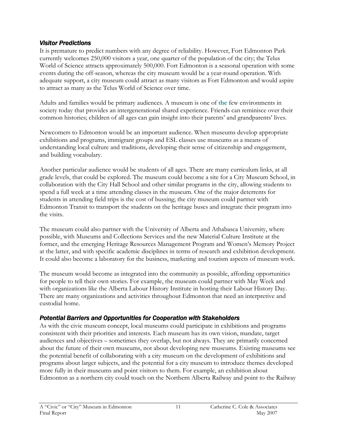#### Visitor Predictions

It is premature to predict numbers with any degree of reliability. However, Fort Edmonton Park currently welcomes 250,000 visitors a year, one quarter of the population of the city; the Telus World of Science attracts approximately 500,000. Fort Edmonton is a seasonal operation with some events during the off-season, whereas the city museum would be a year-round operation. With adequate support, a city museum could attract as many visitors as Fort Edmonton and would aspire to attract as many as the Telus World of Science over time.

Adults and families would be primary audiences. A museum is one of the few environments in society today that provides an intergenerational shared experience. Friends can reminisce over their common histories; children of all ages can gain insight into their parents' and grandparents' lives.

Newcomers to Edmonton would be an important audience. When museums develop appropriate exhibitions and programs, immigrant groups and ESL classes use museums as a means of understanding local culture and traditions, developing their sense of citizenship and engagement, and building vocabulary.

Another particular audience would be students of all ages. There are many curriculum links, at all grade levels, that could be explored. The museum could become a site for a City Museum School, in collaboration with the City Hall School and other similar programs in the city, allowing students to spend a full week at a time attending classes in the museum. One of the major deterrents for students in attending field trips is the cost of bussing; the city museum could partner with Edmonton Transit to transport the students on the heritage buses and integrate their program into the visits.

The museum could also partner with the University of Alberta and Athabasca University, where possible, with Museums and Collections Services and the new Material Culture Institute at the former, and the emerging Heritage Resources Management Program and Women's Memory Project at the latter, and with specific academic disciplines in terms of research and exhibition development. It could also become a laboratory for the business, marketing and tourism aspects of museum work.

The museum would become as integrated into the community as possible, affording opportunities for people to tell their own stories. For example, the museum could partner with May Week and with organizations like the Alberta Labour History Institute in hosting their Labour History Day. There are many organizations and activities throughout Edmonton that need an interpretive and custodial home.

## Potential Barriers and Opportunities for Cooperation with Stakeholders

As with the civic museum concept, local museums could participate in exhibitions and programs consistent with their priorities and interests. Each museum has its own vision, mandate, target audiences and objectives – sometimes they overlap, but not always. They are primarily concerned about the future of their own museums, not about developing new museums. Existing museums see the potential benefit of collaborating with a city museum on the development of exhibitions and programs about larger subjects, and the potential for a city museum to introduce themes developed more fully in their museums and point visitors to them. For example, an exhibition about Edmonton as a northern city could touch on the Northern Alberta Railway and point to the Railway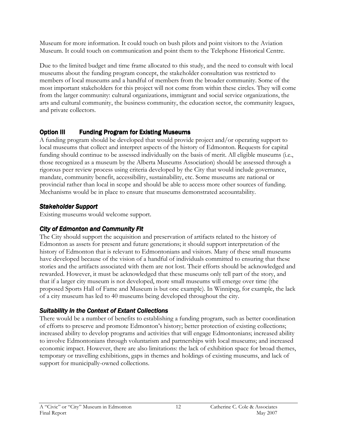Museum for more information. It could touch on bush pilots and point visitors to the Aviation Museum. It could touch on communication and point them to the Telephone Historical Centre.

Due to the limited budget and time frame allocated to this study, and the need to consult with local museums about the funding program concept, the stakeholder consultation was restricted to members of local museums and a handful of members from the broader community. Some of the most important stakeholders for this project will not come from within these circles. They will come from the larger community: cultural organizations, immigrant and social service organizations, the arts and cultural community, the business community, the education sector, the community leagues, and private collectors.

# **Option III Funding Program for Existing Museums**

A funding program should be developed that would provide project and/or operating support to local museums that collect and interpret aspects of the history of Edmonton. Requests for capital funding should continue to be assessed individually on the basis of merit. All eligible museums (i.e., those recognized as a museum by the Alberta Museums Association) should be assessed through a rigorous peer review process using criteria developed by the City that would include governance, mandate, community benefit, accessibility, sustainability, etc. Some museums are national or provincial rather than local in scope and should be able to access more other sources of funding. Mechanisms would be in place to ensure that museums demonstrated accountability.

# Stakeholder Support

Existing museums would welcome support.

# City of Edmonton and Community Fit

The City should support the acquisition and preservation of artifacts related to the history of Edmonton as assets for present and future generations; it should support interpretation of the history of Edmonton that is relevant to Edmontonians and visitors. Many of these small museums have developed because of the vision of a handful of individuals committed to ensuring that these stories and the artifacts associated with them are not lost. Their efforts should be acknowledged and rewarded. However, it must be acknowledged that these museums only tell part of the story, and that if a larger city museum is not developed, more small museums will emerge over time (the proposed Sports Hall of Fame and Museum is but one example). In Winnipeg, for example, the lack of a city museum has led to 40 museums being developed throughout the city.

# Suitability in the Context of Extant Collections

There would be a number of benefits to establishing a funding program, such as better coordination of efforts to preserve and promote Edmonton's history; better protection of existing collections; increased ability to develop programs and activities that will engage Edmontonians; increased ability to involve Edmontonians through voluntarism and partnerships with local museums; and increased economic impact. However, there are also limitations: the lack of exhibition space for broad themes, temporary or travelling exhibitions, gaps in themes and holdings of existing museums, and lack of support for municipally-owned collections.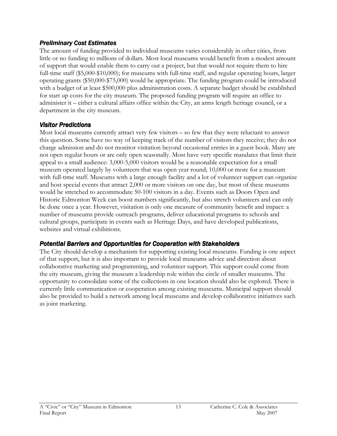#### Preliminary Cost Estimates

The amount of funding provided to individual museums varies considerably in other cities, from little or no funding to millions of dollars. Most local museums would benefit from a modest amount of support that would enable them to carry out a project, but that would not require them to hire full-time staff (\$5,000-\$10,000); for museums with full-time staff, and regular operating hours, larger operating grants (\$50,000-\$75,000) would be appropriate. The funding program could be introduced with a budget of at least \$500,000 plus administration costs. A separate budget should be established for start up costs for the city museum. The proposed funding program will require an office to administer it – either a cultural affairs office within the City, an arms length heritage council, or a department in the city museum.

## Visitor Predictions

Most local museums currently attract very few visitors – so few that they were reluctant to answer this question. Some have no way of keeping track of the number of visitors they receive; they do not charge admission and do not monitor visitation beyond occasional entries in a guest book. Many are not open regular hours or are only open seasonally. Most have very specific mandates that limit their appeal to a small audience: 3,000-5,000 visitors would be a reasonable expectation for a small museum operated largely by volunteers that was open year round; 10,000 or more for a museum with full-time staff. Museums with a large enough facility and a lot of volunteer support can organize and host special events that attract 2,000 or more visitors on one day, but most of these museums would be stretched to accommodate 50-100 visitors in a day. Events such as Doors Open and Historic Edmonton Week can boost numbers significantly, but also stretch volunteers and can only be done once a year. However, visitation is only one measure of community benefit and impact: a number of museums provide outreach programs, deliver educational programs to schools and cultural groups, participate in events such as Heritage Days, and have developed publications, websites and virtual exhibitions.

### Potential Barriers and Opportunities for Cooperation with Stakeholders

The City should develop a mechanism for supporting existing local museums. Funding is one aspect of that support, but it is also important to provide local museums advice and direction about collaborative marketing and programming, and volunteer support. This support could come from the city museum, giving the museum a leadership role within the circle of smaller museums. The opportunity to consolidate some of the collections in one location should also be explored. There is currently little communication or cooperation among existing museums. Municipal support should also be provided to build a network among local museums and develop collaborative initiatives such as joint marketing.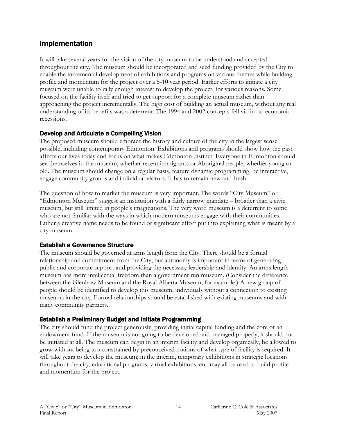# Implementation

It will take several years for the vision of the city museum to be understood and accepted throughout the city. The museum should be incorporated and seed funding provided by the City to enable the incremental development of exhibitions and programs on various themes while building profile and momentum for the project over a 5-10 year period. Earlier efforts to initiate a city museum were unable to rally enough interest to develop the project, for various reasons. Some focused on the facility itself and tried to get support for a complete museum rather than approaching the project incrementally. The high cost of building an actual museum, without any real understanding of its benefits was a deterrent. The 1994 and 2002 concepts fell victim to economic recessions.

## Develop and Articulate a Compelling Vision

The proposed museum should embrace the history and culture of the city in the largest sense possible, including contemporary Edmonton. Exhibitions and programs should show how the past affects our lives today and focus on what makes Edmonton distinct. Everyone in Edmonton should see themselves in the museum, whether recent immigrants or Aboriginal people, whether young or old. The museum should change on a regular basis, feature dynamic programming, be interactive, engage community groups and individual visitors. It has to remain new and fresh.

The question of how to market the museum is very important. The words "City Museum" or "Edmonton Museum" suggest an institution with a fairly narrow mandate – broader than a civic museum, but still limited in people's imaginations. The very word museum is a deterrent to some who are not familiar with the ways in which modern museums engage with their communities. Either a creative name needs to be found or significant effort put into explaining what is meant by a city museum.

### Establish a Governance Structure

The museum should be governed at arms length from the City. There should be a formal relationship and commitment from the City, but autonomy is important in terms of generating public and corporate support and providing the necessary leadership and identity. An arms length museum has more intellectual freedom than a government run museum. (Consider the difference between the Glenbow Museum and the Royal Alberta Museum, for example.) A new group of people should be identified to develop this museum, individuals without a connection to existing museums in the city. Formal relationships should be established with existing museums and with many community partners.

## Establish a Preliminary Budget and Initiate Programming

The city should fund the project generously, providing initial capital funding and the core of an endowment fund. If the museum is not going to be developed and managed properly, it should not be initiated at all. The museum can begin in an interim facility and develop organically, be allowed to grow without being too constrained by preconceived notions of what type of facility is required. It will take years to develop the museum; in the interim, temporary exhibitions in strategic locations throughout the city, educational programs, virtual exhibitions, etc. may all be used to build profile and momentum for the project.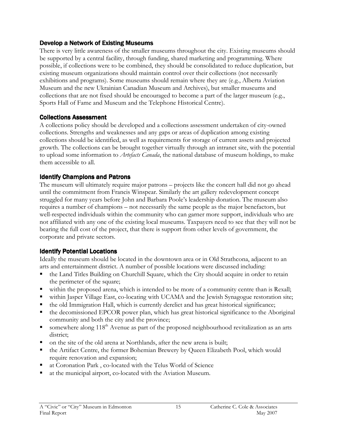#### Develop a Network of Existing Museums

There is very little awareness of the smaller museums throughout the city. Existing museums should be supported by a central facility, through funding, shared marketing and programming. Where possible, if collections were to be combined, they should be consolidated to reduce duplication, but existing museum organizations should maintain control over their collections (not necessarily exhibitions and programs). Some museums should remain where they are (e.g., Alberta Aviation Museum and the new Ukrainian Canadian Museum and Archives), but smaller museums and collections that are not fixed should be encouraged to become a part of the larger museum (e.g., Sports Hall of Fame and Museum and the Telephone Historical Centre).

## Collections Assessment

A collections policy should be developed and a collections assessment undertaken of city-owned collections. Strengths and weaknesses and any gaps or areas of duplication among existing collections should be identified, as well as requirements for storage of current assets and projected growth. The collections can be brought together virtually through an intranet site, with the potential to upload some information to *Artefacts Canada*, the national database of museum holdings, to make them accessible to all.

## Identify Champions and Patrons

The museum will ultimately require major patrons – projects like the concert hall did not go ahead until the commitment from Francis Winspear. Similarly the art gallery redevelopment concept struggled for many years before John and Barbara Poole's leadership donation. The museum also requires a number of champions – not necessarily the same people as the major benefactors, but well-respected individuals within the community who can garner more support, individuals who are not affiliated with any one of the existing local museums. Taxpayers need to see that they will not be bearing the full cost of the project, that there is support from other levels of government, the corporate and private sectors.

## Identify Potential Locations

Ideally the museum should be located in the downtown area or in Old Strathcona, adjacent to an arts and entertainment district. A number of possible locations were discussed including:

- the Land Titles Building on Churchill Square, which the City should acquire in order to retain the perimeter of the square;
- within the proposed arena, which is intended to be more of a community centre than is Rexall;
- within Jasper Village East, co-locating with UCAMA and the Jewish Synagogue restoration site;
- the old Immigration Hall, which is currently derelict and has great historical significance;
- the decomissioned EPCOR power plan, which has great historical significance to the Aboriginal community and both the city and the province;
- somewhere along 118<sup>th</sup> Avenue as part of the proposed neighbourhood revitalization as an arts district;
- on the site of the old arena at Northlands, after the new arena is built;
- the Artifact Centre, the former Bohemian Brewery by Queen Elizabeth Pool, which would require renovation and expansion;
- at Coronation Park , co-located with the Telus World of Science
- at the municipal airport, co-located with the Aviation Museum.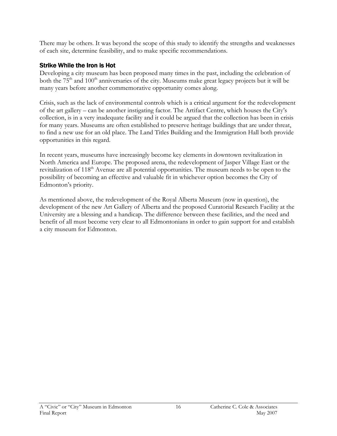There may be others. It was beyond the scope of this study to identify the strengths and weaknesses of each site, determine feasibility, and to make specific recommendations.

## Strike While the Iron is Hot

Developing a city museum has been proposed many times in the past, including the celebration of both the  $75<sup>th</sup>$  and  $100<sup>th</sup>$  anniversaries of the city. Museums make great legacy projects but it will be many years before another commemorative opportunity comes along.

Crisis, such as the lack of environmental controls which is a critical argument for the redevelopment of the art gallery – can be another instigating factor. The Artifact Centre, which houses the City's collection, is in a very inadequate facility and it could be argued that the collection has been in crisis for many years. Museums are often established to preserve heritage buildings that are under threat, to find a new use for an old place. The Land Titles Building and the Immigration Hall both provide opportunities in this regard.

In recent years, museums have increasingly become key elements in downtown revitalization in North America and Europe. The proposed arena, the redevelopment of Jasper Village East or the revitalization of 118<sup>th</sup> Avenue are all potential opportunities. The museum needs to be open to the possibility of becoming an effective and valuable fit in whichever option becomes the City of Edmonton's priority.

As mentioned above, the redevelopment of the Royal Alberta Museum (now in question), the development of the new Art Gallery of Alberta and the proposed Curatorial Research Facility at the University are a blessing and a handicap. The difference between these facilities, and the need and benefit of all must become very clear to all Edmontonians in order to gain support for and establish a city museum for Edmonton.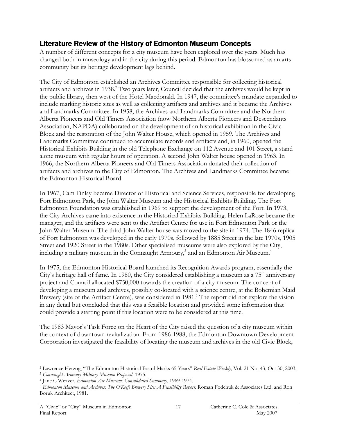# Literature Review of the History of Edmonton Museum Concepts

A number of different concepts for a city museum have been explored over the years. Much has changed both in museology and in the city during this period. Edmonton has blossomed as an arts community but its heritage development lags behind.

The City of Edmonton established an Archives Committee responsible for collecting historical artifacts and archives in 1938.<sup>2</sup> Two years later, Council decided that the archives would be kept in the public library, then west of the Hotel Macdonald. In 1947, the committee's mandate expanded to include marking historic sites as well as collecting artifacts and archives and it became the Archives and Landmarks Committee. In 1958, the Archives and Landmarks Committee and the Northern Alberta Pioneers and Old Timers Association (now Northern Alberta Pioneers and Descendants Association, NAPDA) collaborated on the development of an historical exhibition in the Civic Block and the restoration of the John Walter House, which opened in 1959. The Archives and Landmarks Committee continued to accumulate records and artifacts and, in 1960, opened the Historical Exhibits Building in the old Telephone Exchange on 112 Avenue and 101 Street, a stand alone museum with regular hours of operation. A second John Walter house opened in 1963. In 1966, the Northern Alberta Pioneers and Old Timers Association donated their collection of artifacts and archives to the City of Edmonton. The Archives and Landmarks Committee became the Edmonton Historical Board.

In 1967, Cam Finlay became Director of Historical and Science Services, responsible for developing Fort Edmonton Park, the John Walter Museum and the Historical Exhibits Building. The Fort Edmonton Foundation was established in 1969 to support the development of the Fort. In 1973, the City Archives came into existence in the Historical Exhibits Building. Helen LaRose became the manager, and the artifacts were sent to the Artifact Centre for use in Fort Edmonton Park or the John Walter Museum. The third John Walter house was moved to the site in 1974. The 1846 replica of Fort Edmonton was developed in the early 1970s, followed by 1885 Street in the late 1970s, 1905 Street and 1920 Street in the 1980s. Other specialised museums were also explored by the City, including a military museum in the Connaught Armoury, $^3$  and an Edmonton Air Museum. $^4$ 

In 1975, the Edmonton Historical Board launched its Recognition Awards program, essentially the City's heritage hall of fame. In 1980, the City considered establishing a museum as a  $75<sup>th</sup>$  anniversary project and Council allocated \$750,000 towards the creation of a city museum. The concept of developing a museum and archives, possibly co-located with a science centre, at the Bohemian Maid Brewery (site of the Artifact Centre), was considered in 1981.<sup>5</sup> The report did not explore the vision in any detail but concluded that this was a feasible location and provided some information that could provide a starting point if this location were to be considered at this time.

The 1983 Mayor's Task Force on the Heart of the City raised the question of a city museum within the context of downtown revitalization. From 1986-1988, the Edmonton Downtown Development Corporation investigated the feasibility of locating the museum and archives in the old Civic Block,

 $\overline{a}$ <sup>2</sup> Lawrence Herzog, "The Edmonton Historical Board Marks 65 Years" Real Estate Weekly, Vol. 21 No. 43, Oct 30, 2003.

<sup>3</sup> Connaught Armoury Military Museum Proposal, 1975.

<sup>&</sup>lt;sup>4</sup> Jane C Weaver, Edmonton Air Museum: Consolidated Summary, 1969-1974.

<sup>&</sup>lt;sup>5</sup> Edmonton Museum and Archives: The O'Keefe Brewery Site: A Feasibility Report. Roman Fodchuk & Associates Ltd. and Ron Boruk Architect, 1981.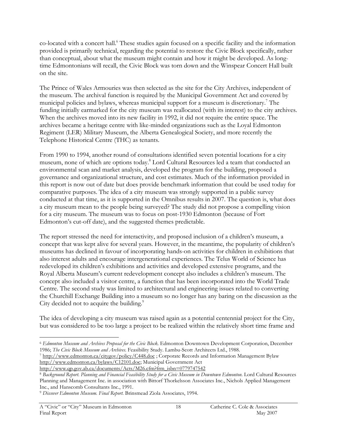co-located with a concert hall.<sup>6</sup> These studies again focused on a specific facility and the information provided is primarily technical, regarding the potential to restore the Civic Block specifically, rather than conceptual, about what the museum might contain and how it might be developed. As longtime Edmontonians will recall, the Civic Block was torn down and the Winspear Concert Hall built on the site.

The Prince of Wales Armouries was then selected as the site for the City Archives, independent of the museum. The archival function is required by the Municipal Government Act and covered by municipal policies and bylaws, whereas municipal support for a museum is discretionary.<sup>7</sup> The funding initially earmarked for the city museum was reallocated (with its interest) to the city archives. When the archives moved into its new facility in 1992, it did not require the entire space. The archives became a heritage centre with like-minded organizations such as the Loyal Edmonton Regiment (LER) Military Museum, the Alberta Genealogical Society, and more recently the Telephone Historical Centre (THC) as tenants.

From 1990 to 1994, another round of consultations identified seven potential locations for a city museum, none of which are options today.<sup>8</sup> Lord Cultural Resources led a team that conducted an environmental scan and market analysis, developed the program for the building, proposed a governance and organizational structure, and cost estimates. Much of the information provided in this report is now out of date but does provide benchmark information that could be used today for comparative purposes. The idea of a city museum was strongly supported in a public survey conducted at that time, as it is supported in the Omnibus results in 2007. The question is, what does a city museum mean to the people being surveyed? The study did not propose a compelling vision for a city museum. The museum was to focus on post-1930 Edmonton (because of Fort Edmonton's cut-off date), and the suggested themes predictable.

The report stressed the need for interactivity, and proposed inclusion of a children's museum, a concept that was kept alive for several years. However, in the meantime, the popularity of children's museums has declined in favour of incorporating hands-on activities for children in exhibitions that also interest adults and encourage intergenerational experiences. The Telus World of Science has redeveloped its children's exhibitions and activities and developed extensive programs, and the Royal Alberta Museum's current redevelopment concept also includes a children's museum. The concept also included a visitor centre, a function that has been incorporated into the World Trade Centre. The second study was limited to architectural and engineering issues related to converting the Churchill Exchange Building into a museum so no longer has any baring on the discussion as the City decided not to acquire the building.<sup>9</sup>

The idea of developing a city museum was raised again as a potential centennial project for the City, but was considered to be too large a project to be realized within the relatively short time frame and

7 http://www.edmonton.ca/citygov/policy/C448.doc ; Corporate Records and Information Management Bylaw http://www.edmonton.ca/bylaws/C12101.doc; Municipal Government Act

 $\overline{a}$ <sup>6</sup> Edmonton Museum and Archives Proposal for the Civic Block. Edmonton Downtown Development Corporation, December 1986; The Civic Block Museum and Archives. Feasibility Study. Lambu-Scott Architects Ltd., 1988.

http://www.qp.gov.ab.ca/documents/Acts/M26.cfm?frm\_isbn=0779747542

<sup>8</sup> Background Report. Planning and Financial Feasibility Study for a Civic Museum in Downtown Edmonton. Lord Cultural Resources Planning and Management Inc. in association with Bittorf Thorkelsson Associates Inc., Nichols Applied Management Inc., and Hanscomb Consultants Inc., 1991.

<sup>9</sup> Discover Edmonton Museum. Final Report. Brinsmead Ziola Associates, 1994.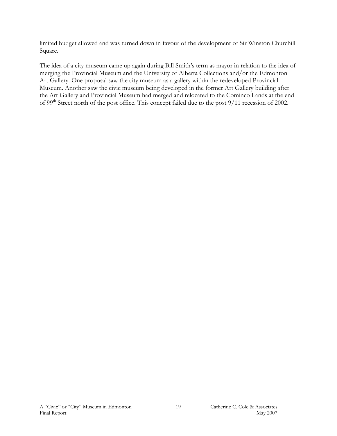limited budget allowed and was turned down in favour of the development of Sir Winston Churchill Square.

The idea of a city museum came up again during Bill Smith's term as mayor in relation to the idea of merging the Provincial Museum and the University of Alberta Collections and/or the Edmonton Art Gallery. One proposal saw the city museum as a gallery within the redeveloped Provincial Museum. Another saw the civic museum being developed in the former Art Gallery building after the Art Gallery and Provincial Museum had merged and relocated to the Cominco Lands at the end of 99th Street north of the post office. This concept failed due to the post 9/11 recession of 2002.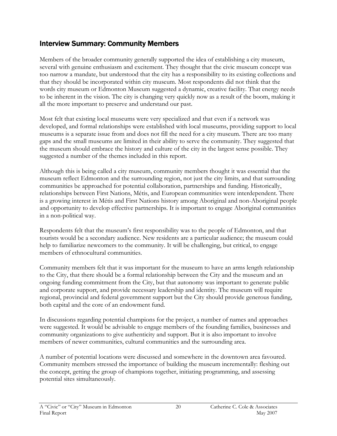# Interview Summary: Community Members

Members of the broader community generally supported the idea of establishing a city museum, several with genuine enthusiasm and excitement. They thought that the civic museum concept was too narrow a mandate, but understood that the city has a responsibility to its existing collections and that they should be incorporated within city museum. Most respondents did not think that the words city museum or Edmonton Museum suggested a dynamic, creative facility. That energy needs to be inherent in the vision. The city is changing very quickly now as a result of the boom, making it all the more important to preserve and understand our past.

Most felt that existing local museums were very specialized and that even if a network was developed, and formal relationships were established with local museums, providing support to local museums is a separate issue from and does not fill the need for a city museum. There are too many gaps and the small museums are limited in their ability to serve the community. They suggested that the museum should embrace the history and culture of the city in the largest sense possible. They suggested a number of the themes included in this report.

Although this is being called a city museum, community members thought it was essential that the museum reflect Edmonton and the surrounding region, not just the city limits, and that surrounding communities be approached for potential collaboration, partnerships and funding. Historically, relationships between First Nations, Métis, and European communities were interdependent. There is a growing interest in Métis and First Nations history among Aboriginal and non-Aboriginal people and opportunity to develop effective partnerships. It is important to engage Aboriginal communities in a non-political way.

Respondents felt that the museum's first responsibility was to the people of Edmonton, and that tourists would be a secondary audience. New residents are a particular audience; the museum could help to familiarize newcomers to the community. It will be challenging, but critical, to engage members of ethnocultural communities.

Community members felt that it was important for the museum to have an arms length relationship to the City, that there should be a formal relationship between the City and the museum and an ongoing funding commitment from the City, but that autonomy was important to generate public and corporate support, and provide necessary leadership and identity. The museum will require regional, provincial and federal government support but the City should provide generous funding, both capital and the core of an endowment fund.

In discussions regarding potential champions for the project, a number of names and approaches were suggested. It would be advisable to engage members of the founding families, businesses and community organizations to give authenticity and support. But it is also important to involve members of newer communities, cultural communities and the surrounding area.

A number of potential locations were discussed and somewhere in the downtown area favoured. Community members stressed the importance of building the museum incrementally: fleshing out the concept, getting the group of champions together, initiating programming, and assessing potential sites simultaneously.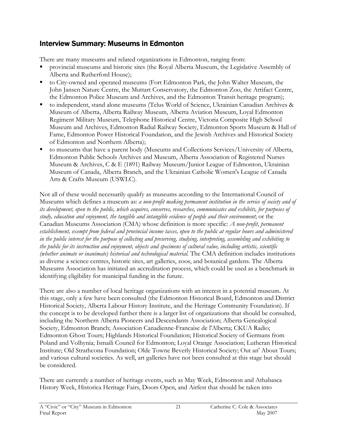# Interview Summary: Museums in Edmonton

There are many museums and related organizations in Edmonton, ranging from:

- provincial museums and historic sites (the Royal Alberta Museum, the Legislative Assembly of Alberta and Rutherford House);
- to City-owned and operated museums (Fort Edmonton Park, the John Walter Museum, the John Jansen Nature Centre, the Muttart Conservatory, the Edmonton Zoo, the Artifact Centre, the Edmonton Police Museum and Archives, and the Edmonton Transit heritage program);
- to independent, stand alone museums (Telus World of Science, Ukrainian Canadian Archives & Museum of Alberta, Alberta Railway Museum, Alberta Aviation Museum, Loyal Edmonton Regiment Military Museum, Telephone Historical Centre, Victoria Composite High School Museum and Archives, Edmonton Radial Railway Society, Edmonton Sports Museum & Hall of Fame, Edmonton Power Historical Foundation, and the Jewish Archives and Historical Society of Edmonton and Northern Alberta);
- to museums that have a parent body (Museums and Collections Services/University of Alberta, Edmonton Public Schools Archives and Museum, Alberta Association of Registered Nurses Museum & Archives, C & E (1891) Railway Museum/Junior League of Edmonton, Ukrainian Museum of Canada, Alberta Branch, and the Ukrainian Catholic Women's League of Canada Arts & Crafts Museum (USWLC).

Not all of these would necessarily qualify as museums according to the International Council of Museums which defines a museum as: a non-profit making permanent institution in the service of society and of its development, open to the public, which acquires, conserves, researches, communicates and exhibits, for purposes of study, education and enjoyment, the tangible and intangible evidence of people and their environment; or the Canadian Museums Association (CMA) whose definition is more specific: A non-profit, permanent establishment, exempt from federal and provincial income taxes, open to the public at regular hours and administered in the public interest for the purpose of collecting and preserving, studying, interpreting, assembling and exhibiting to the public for its instruction and enjoyment, objects and specimens of cultural value, including artistic, scientific (whether animate or inanimate) historical and technological material. The CMA definition includes institutions as diverse a science centres, historic sites, art galleries, zoos, and botanical gardens. The Alberta Museums Association has initiated an accreditation process, which could be used as a benchmark in identifying eligibility for municipal funding in the future.

There are also a number of local heritage organizations with an interest in a potential museum. At this stage, only a few have been consulted (the Edmonton Historical Board, Edmonton and District Historical Society, Alberta Labour History Institute, and the Heritage Community Foundation). If the concept is to be developed further there is a larger list of organizations that should be consulted, including the Northern Alberta Pioneers and Descendants Association; Alberta Genealogical Society, Edmonton Branch; Association Canadienne-Francaise de l'Alberta; CKUA Radio; Edmonton Ghost Tours; Highlands Historical Foundation; Historical Society of Germans from Poland and Volhynia; Ismaili Council for Edmonton; Loyal Orange Association; Lutheran Historical Institute; Old Strathcona Foundation; Olde Towne Beverly Historical Society; Out an' About Tours; and various cultural societies. As well, art galleries have not been consulted at this stage but should be considered.

There are currently a number of heritage events, such as May Week, Edmonton and Athabasca History Week, Historica Heritage Fairs, Doors Open, and Airfest that should be taken into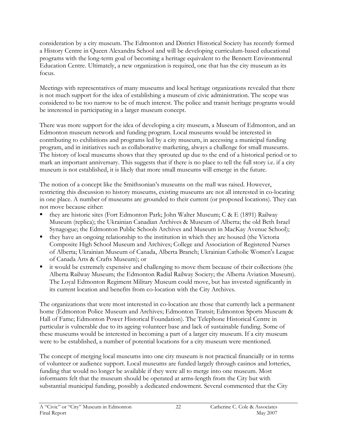consideration by a city museum. The Edmonton and District Historical Society has recently formed a History Centre in Queen Alexandra School and will be developing curriculum-based educational programs with the long-term goal of becoming a heritage equivalent to the Bennett Environmental Education Centre. Ultimately, a new organization is required, one that has the city museum as its focus.

Meetings with representatives of many museums and local heritage organizations revealed that there is not much support for the idea of establishing a museum of civic administration. The scope was considered to be too narrow to be of much interest. The police and transit heritage programs would be interested in participating in a larger museum concept.

There was more support for the idea of developing a city museum, a Museum of Edmonton, and an Edmonton museum network and funding program. Local museums would be interested in contributing to exhibitions and programs led by a city museum, in accessing a municipal funding program, and in initiatives such as collaborative marketing, always a challenge for small museums. The history of local museums shows that they sprouted up due to the end of a historical period or to mark an important anniversary. This suggests that if there is no place to tell the full story i.e. if a city museum is not established, it is likely that more small museums will emerge in the future.

The notion of a concept like the Smithsonian's museums on the mall was raised. However, restricting this discussion to history museums, existing museums are not all interested in co-locating in one place. A number of museums are grounded to their current (or proposed locations). They can not move because either:

- they are historic sites (Fort Edmonton Park; John Walter Museum; C & E (1891) Railway Museum (replica); the Ukrainian Canadian Archives & Museum of Alberta; the old Beth Israel Synagogue; the Edmonton Public Schools Archives and Museum in MacKay Avenue School);
- they have an ongoing relationship to the institution in which they are housed (the Victoria Composite High School Museum and Archives; College and Association of Registered Nurses of Alberta; Ukrainian Museum of Canada, Alberta Branch; Ukrainian Catholic Women's League of Canada Arts & Crafts Museum); or
- it would be extremely expensive and challenging to move them because of their collections (the Alberta Railway Museum; the Edmonton Radial Railway Society; the Alberta Aviation Museum). The Loyal Edmonton Regiment Military Museum could move, but has invested significantly in its current location and benefits from co-location with the City Archives.

The organizations that were most interested in co-location are those that currently lack a permanent home (Edmonton Police Museum and Archives; Edmonton Transit; Edmonton Sports Museum & Hall of Fame; Edmonton Power Historical Foundation). The Telephone Historical Centre in particular is vulnerable due to its ageing volunteer base and lack of sustainable funding. Some of these museums would be interested in becoming a part of a larger city museum. If a city museum were to be established, a number of potential locations for a city museum were mentioned.

The concept of merging local museums into one city museum is not practical financially or in terms of volunteer or audience support. Local museums are funded largely through casinos and lotteries, funding that would no longer be available if they were all to merge into one museum. Most informants felt that the museum should be operated at arms-length from the City but with substantial municipal funding, possibly a dedicated endowment. Several commented that the City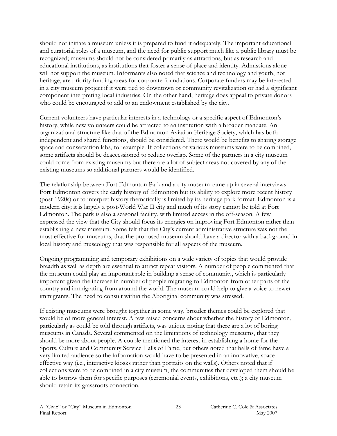should not initiate a museum unless it is prepared to fund it adequately. The important educational and curatorial roles of a museum, and the need for public support much like a public library must be recognized; museums should not be considered primarily as attractions, but as research and educational institutions, as institutions that foster a sense of place and identity. Admissions alone will not support the museum. Informants also noted that science and technology and youth, not heritage, are priority funding areas for corporate foundations. Corporate funders may be interested in a city museum project if it were tied to downtown or community revitalization or had a significant component interpreting local industries. On the other hand, heritage does appeal to private donors who could be encouraged to add to an endowment established by the city.

Current volunteers have particular interests in a technology or a specific aspect of Edmonton's history, while new volunteers could be attracted to an institution with a broader mandate. An organizational structure like that of the Edmonton Aviation Heritage Society, which has both independent and shared functions, should be considered. There would be benefits to sharing storage space and conservation labs, for example. If collections of various museums were to be combined, some artifacts should be deaccessioned to reduce overlap. Some of the partners in a city museum could come from existing museums but there are a lot of subject areas not covered by any of the existing museums so additional partners would be identified.

The relationship between Fort Edmonton Park and a city museum came up in several interviews. Fort Edmonton covers the early history of Edmonton but its ability to explore more recent history (post-1920s) or to interpret history thematically is limited by its heritage park format. Edmonton is a modern city; it is largely a post-World War II city and much of its story cannot be told at Fort Edmonton. The park is also a seasonal facility, with limited access in the off-season. A few expressed the view that the City should focus its energies on improving Fort Edmonton rather than establishing a new museum. Some felt that the City's current administrative structure was not the most effective for museums, that the proposed museum should have a director with a background in local history and museology that was responsible for all aspects of the museum.

Ongoing programming and temporary exhibitions on a wide variety of topics that would provide breadth as well as depth are essential to attract repeat visitors. A number of people commented that the museum could play an important role in building a sense of community, which is particularly important given the increase in number of people migrating to Edmonton from other parts of the country and immigrating from around the world. The museum could help to give a voice to newer immigrants. The need to consult within the Aboriginal community was stressed.

If existing museums were brought together in some way, broader themes could be explored that would be of more general interest. A few raised concerns about whether the history of Edmonton, particularly as could be told through artifacts, was unique noting that there are a lot of boring museums in Canada. Several commented on the limitations of technology museums, that they should be more about people. A couple mentioned the interest in establishing a home for the Sports, Culture and Community Service Halls of Fame, but others noted that halls of fame have a very limited audience so the information would have to be presented in an innovative, space effective way (i.e., interactive kiosks rather than portraits on the walls). Others noted that if collections were to be combined in a city museum, the communities that developed them should be able to borrow them for specific purposes (ceremonial events, exhibitions, etc.); a city museum should retain its grassroots connection.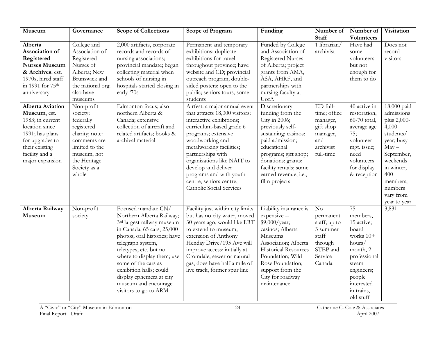| Museum                                                                                                                                                                     | Governance                                                                                                                                                    | <b>Scope of Collections</b>                                                                                                                                                                                                                                                                                                                              | <b>Scope of Program</b>                                                                                                                                                                                                                                                                                                                                   | Funding                                                                                                                                                                                                                                            | Number of<br><b>Staff</b>                                                                              | Number of                                                                                                                                                            | Visitation                                                                                                                                                                                 |
|----------------------------------------------------------------------------------------------------------------------------------------------------------------------------|---------------------------------------------------------------------------------------------------------------------------------------------------------------|----------------------------------------------------------------------------------------------------------------------------------------------------------------------------------------------------------------------------------------------------------------------------------------------------------------------------------------------------------|-----------------------------------------------------------------------------------------------------------------------------------------------------------------------------------------------------------------------------------------------------------------------------------------------------------------------------------------------------------|----------------------------------------------------------------------------------------------------------------------------------------------------------------------------------------------------------------------------------------------------|--------------------------------------------------------------------------------------------------------|----------------------------------------------------------------------------------------------------------------------------------------------------------------------|--------------------------------------------------------------------------------------------------------------------------------------------------------------------------------------------|
| Alberta<br>Association of<br>Registered<br><b>Nurses Museum</b><br>& Archives, est.<br>1970s, hired staff<br>in 1991 for 75th<br>anniversary                               | College and<br>Association of<br>Registered<br>Nurses of<br>Alberta; New<br>Brunswick and<br>the national org.<br>also have<br>museums                        | 2,000 artifacts, corporate<br>records and records of<br>nursing associations;<br>provincial mandate; began<br>collecting material when<br>schools of nursing in<br>hospitals started closing in<br>early '70s                                                                                                                                            | Permanent and temporary<br>exhibitions; duplicate<br>exhibitions for travel<br>throughout province; have<br>website and CD; provincial<br>outreach program; double-<br>sided posters; open to the<br>public; seniors tours, some<br>students                                                                                                              | Funded by College<br>and Association of<br><b>Registered Nurses</b><br>of Alberta; project<br>grants from AMA,<br>ASA, AHRF, and<br>partnerships with<br>nursing faculty at<br>UofA                                                                | 1 librarian/<br>archivist                                                                              | <b>Volunteers</b><br>Have had<br>some<br>volunteers<br>but not<br>enough for<br>them to do                                                                           | Does not<br>record<br>visitors                                                                                                                                                             |
| <b>Alberta Aviation</b><br>Museum, est.<br>1983; in current<br>location since<br>1991; has plans<br>for upgrades to<br>their existing<br>facility and a<br>major expansion | Non-profit<br>society;<br>federally<br>registered<br>charity; note:<br>comments are<br>limited to the<br>museum, not<br>the Heritage<br>Society as a<br>whole | Edmonton focus; also<br>northern Alberta &<br>Canada; extensive<br>collection of aircraft and<br>related artifacts; books &<br>archival material                                                                                                                                                                                                         | Airfest: a major annual event<br>that attracts 18,000 visitors;<br>interactive exhibitions;<br>curriculum-based grade 6<br>programs; extensive<br>woodworking and<br>metalworking facilities;<br>partnerships with<br>organizations like NAIT to<br>develop and deliver<br>programs and with youth<br>centre, seniors centre,<br>Catholic Social Services | Discretionary<br>funding from the<br>City in 2006;<br>previously self-<br>sustaining; casinos;<br>paid admission;<br>educational<br>programs; gift shop;<br>donations; grants;<br>facility rentals; some<br>earned revenue, i.e.,<br>film projects | ED full-<br>time; office<br>manager,<br>gift shop<br>manager,<br>and<br>archivist<br>full-time         | 40 active in<br>restoration,<br>60-70 total,<br>average age<br>75;<br>volunteer<br>mgt. issue;<br>need<br>volunteers<br>for display<br>& reception                   | 18,000 paid<br>admissions<br>plus 2,000-<br>4,000<br>students/<br>year; busy<br>$May -$<br>September,<br>weekends<br>in winter;<br>400<br>members;<br>numbers<br>vary from<br>year to year |
| Alberta Railway<br>Museum                                                                                                                                                  | Non-profit<br>society                                                                                                                                         | Focused mandate CN/<br>Northern Alberta Railway;<br>3rd largest railway museum<br>in Canada, 65 cars, 25,000<br>photos; oral histories; have<br>telegraph system,<br>teletypes, etc. but no<br>where to display them; use<br>some of the cars as<br>exhibition halls; could<br>display ephemera at city<br>museum and encourage<br>visitors to go to ARM | Facility just within city limits<br>but has no city water, moved<br>30 years ago, would like LRT<br>to extend to museum;<br>extension of Anthony<br>Henday Drive/195 Ave will<br>improve access; initially at<br>Cromdale; sewer or natural<br>gas, does have half a mile of<br>live track, former spur line                                              | Liability insurance is<br>expensive --<br>\$9,000/year;<br>casinos; Alberta<br>Museums<br>Association; Alberta<br><b>Historical Resources</b><br>Foundation; Wild<br>Rose Foundation;<br>support from the<br>City for roadway<br>maintenance       | $\rm No$<br>permanent<br>staff; up to<br>3 summer<br>staff<br>through<br>STEP and<br>Service<br>Canada | 75<br>members,<br>15 active;<br>board<br>works $10+$<br>hours/<br>month, 2<br>professional<br>steam<br>engineers;<br>people<br>interested<br>in trains,<br>old stuff | 3,831                                                                                                                                                                                      |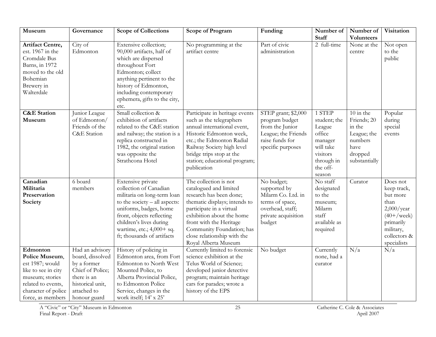| Museum                                                                                                                                                    | Governance                                                                                                                               | <b>Scope of Collections</b>                                                                                                                                                                                                                                | <b>Scope of Program</b>                                                                                                                                                                                                                                                             | Funding                                                                                                                  | Number of<br><b>Staff</b>                                                                                          | Number of<br><b>Volunteers</b>                                                                     | Visitation                                                                                                                               |
|-----------------------------------------------------------------------------------------------------------------------------------------------------------|------------------------------------------------------------------------------------------------------------------------------------------|------------------------------------------------------------------------------------------------------------------------------------------------------------------------------------------------------------------------------------------------------------|-------------------------------------------------------------------------------------------------------------------------------------------------------------------------------------------------------------------------------------------------------------------------------------|--------------------------------------------------------------------------------------------------------------------------|--------------------------------------------------------------------------------------------------------------------|----------------------------------------------------------------------------------------------------|------------------------------------------------------------------------------------------------------------------------------------------|
| <b>Artifact Centre,</b><br>est. 1967 in the<br>Cromdale Bus<br>Barns, in 1972<br>moved to the old<br>Bohemian<br>Brewery in<br>Walterdale                 | City of<br>Edmonton                                                                                                                      | Extensive collection;<br>90,000 artifacts, half of<br>which are dispersed<br>throughout Fort<br>Edmonton; collect<br>anything pertinent to the<br>history of Edmonton,<br>including contemporary<br>ephemera, gifts to the city,<br>etc.                   | No programming at the<br>artifact centre                                                                                                                                                                                                                                            | Part of civic<br>administration                                                                                          | 2 full-time                                                                                                        | None at the<br>centre                                                                              | Not open<br>to the<br>public                                                                                                             |
| <b>C&amp;E</b> Station<br>Museum                                                                                                                          | Junior League<br>of Edmonton/<br>Friends of the<br>C&E Station                                                                           | Small collection &<br>exhibition of artifacts<br>related to the C&E station<br>and railway; the station is a<br>replica constructed in<br>1982, the original station<br>was opposite the<br>Strathcona Hotel                                               | Participate in heritage events<br>such as the telegraphers<br>annual international event,<br>Historic Edmonton week,<br>etc.; the Edmonton Radial<br>Railway Society high level<br>bridge trips stop at the<br>station; educational program;<br>publication                         | STEP grant; \$2,000<br>program budget<br>from the Junior<br>League; the Friends<br>raise funds for<br>specific purposes  | 1 STEP<br>student; the<br>League<br>office<br>manager<br>will take<br>visitors<br>through in<br>the off-<br>season | $10$ in the<br>Friends; 20<br>in the<br>League; the<br>numbers<br>have<br>dropped<br>substantially | Popular<br>during<br>special<br>events                                                                                                   |
| Canadian<br>Militaria<br>Preservation<br>Society                                                                                                          | 6 board<br>members                                                                                                                       | Extensive private<br>collection of Canadian<br>militaria on long-term loan<br>to the society $-$ all aspects:<br>uniforms, badges, home<br>front, objects reflecting<br>children's lives during<br>wartime, etc.; 4,000+ sq.<br>ft; thousands of artifacts | The collection is not<br>catalogued and limited<br>research has been done;<br>thematic displays; intends to<br>participate in a virtual<br>exhibition about the home<br>front with the Heritage<br>Community Foundation; has<br>close relationship with the<br>Royal Alberta Museum | No budget;<br>supported by<br>Milarm Co. Ltd. in<br>terms of space,<br>overhead, staff;<br>private acquisition<br>budget | No staff<br>designated<br>to the<br>museum;<br>Milarm<br>staff<br>available as<br>required                         | Curator                                                                                            | Does not<br>keep track,<br>but more<br>than<br>$2,000$ /year<br>$(40 + /$ week)<br>primarily<br>military,<br>collectors &<br>specialists |
| Edmonton<br>Police Museum,<br>est 1987; would<br>like to see in city<br>museum; stories<br>related to events,<br>character of police<br>force, as members | Had an advisory<br>board, dissolved<br>by a former<br>Chief of Police;<br>there is an<br>historical unit,<br>attached to<br>honour guard | History of policing in<br>Edmonton area, from Fort<br>Edmonton to North West<br>Mounted Police, to<br>Alberta Provincial Police,<br>to Edmonton Police<br>Service, changes in the<br>work itself; 14' x 25'                                                | Currently limited to forensic<br>science exhibition at the<br>Telus World of Science;<br>developed junior detective<br>program; maintain heritage<br>cars for parades; wrote a<br>history of the EPS                                                                                | No budget                                                                                                                | Currently<br>none, had a<br>curator                                                                                | N/a                                                                                                | N/a                                                                                                                                      |

A "Civic" or "City" Museum in Edmonton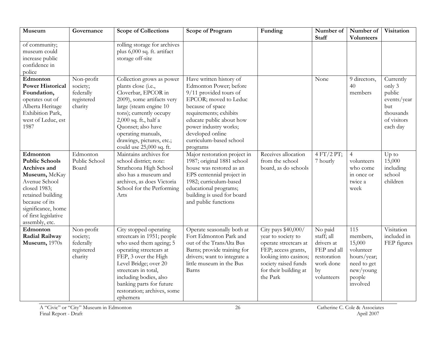| Museum                                                                                                                                                                                                     | Governance                                                   | <b>Scope of Collections</b>                                                                                                                                                                                                                                                              | <b>Scope of Program</b>                                                                                                                                                                                                                                            | Funding                                                                                                                                                                         | Number of<br><b>Staff</b>                                                                          | Number of<br><b>Volunteers</b>                                                                          | Visitation                                                                                  |
|------------------------------------------------------------------------------------------------------------------------------------------------------------------------------------------------------------|--------------------------------------------------------------|------------------------------------------------------------------------------------------------------------------------------------------------------------------------------------------------------------------------------------------------------------------------------------------|--------------------------------------------------------------------------------------------------------------------------------------------------------------------------------------------------------------------------------------------------------------------|---------------------------------------------------------------------------------------------------------------------------------------------------------------------------------|----------------------------------------------------------------------------------------------------|---------------------------------------------------------------------------------------------------------|---------------------------------------------------------------------------------------------|
| of community;<br>museum could<br>increase public<br>confidence in<br>police                                                                                                                                |                                                              | rolling storage for archives<br>plus 6,000 sq. ft. artifact<br>storage off-site                                                                                                                                                                                                          |                                                                                                                                                                                                                                                                    |                                                                                                                                                                                 |                                                                                                    |                                                                                                         |                                                                                             |
| Edmonton<br><b>Power Historical</b><br>Foundation,<br>operates out of<br>Alberta Heritage<br>Exhibition Park,<br>west of Leduc, est<br>1987                                                                | Non-profit<br>society;<br>federally<br>registered<br>charity | Collection grows as power<br>plants close (i.e.,<br>Cloverbar, EPCOR in<br>2009), some artifacts very<br>large (steam engine 10<br>tons); currently occupy<br>2,000 sq. ft., half a<br>Quonset; also have<br>operating manuals,<br>drawings, pictures, etc.;<br>could use 25,000 sq. ft. | Have written history of<br>Edmonton Power; before<br>9/11 provided tours of<br>EPCOR; moved to Leduc<br>because of space<br>requirements; exhibits<br>educate public about how<br>power industry works;<br>developed online<br>curriculum-based school<br>programs |                                                                                                                                                                                 | None                                                                                               | 9 directors,<br>40<br>members                                                                           | Currently<br>only 3<br>public<br>events/year<br>but<br>thousands<br>of visitors<br>each day |
| Edmonton<br><b>Public Schools</b><br>Archives and<br>Museum, McKay<br>Avenue School<br>closed 1983;<br>retained building<br>because of its<br>significance, home<br>of first legislative<br>assembly, etc. | Edmonton<br>Public School<br>Board                           | Maintains archives for<br>school district; note:<br>Strathcona High School<br>also has a museum and<br>archives, as does Victoria<br>School for the Performing<br>Arts                                                                                                                   | Major restoration project in<br>1987; original 1881 school<br>house was restored as an<br>EPS centennial project in<br>1982; curriculum-based<br>educational programs;<br>building is used for board<br>and public functions                                       | Receives allocation<br>from the school<br>board, as do schools                                                                                                                  | 4 FT/2 PT;<br>7 hourly                                                                             | $\overline{4}$<br>volunteers<br>who come<br>in once or<br>twice a<br>week                               | Up to<br>15,000<br>including<br>school<br>children                                          |
| Edmonton<br>Radial Railway<br>Museum, 1970s                                                                                                                                                                | Non-profit<br>society;<br>federally<br>registered<br>charity | City stopped operating<br>streetcars in 1951; people<br>who used them ageing; 5<br>operating streetcars at<br>FEP, 3 over the High<br>Level Bridge; over 20<br>streetcars in total,<br>including bodies, also<br>banking parts for future<br>restoration; archives, some<br>ephemera     | Operate seasonally both at<br>Fort Edmonton Park and<br>out of the TransAlta Bus<br>Barns; provide training for<br>drivers; want to integrate a<br>little museum in the Bus<br>Barns                                                                               | City pays \$40,000/<br>year to society to<br>operate streetcars at<br>FEP; access grants,<br>looking into casinos;<br>society raised funds<br>for their building at<br>the Park | No paid<br>staff; all<br>drivers at<br>FEP and all<br>restoration<br>work done<br>by<br>volunteers | 115<br>members,<br>15,000<br>volunteer<br>hours/year;<br>need to get<br>new/young<br>people<br>involved | Visitation<br>included in<br>FEP figures                                                    |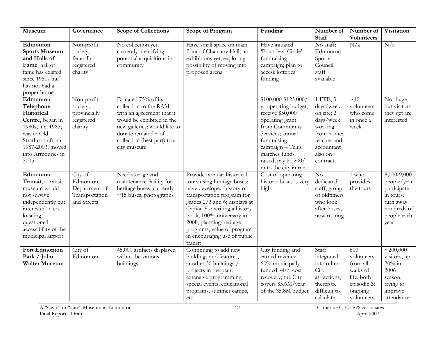| Museum                                                                                                                                                                          | Governance                                                             | <b>Scope of Collections</b>                                                                                                                                                                                | <b>Scope of Program</b>                                                                                                                                                                                                                                                                                                              | Funding                                                                                                                                                                                                                           | Number of                                                                                                                     | Number of                                                                                                   | Visitation                                                                                                |
|---------------------------------------------------------------------------------------------------------------------------------------------------------------------------------|------------------------------------------------------------------------|------------------------------------------------------------------------------------------------------------------------------------------------------------------------------------------------------------|--------------------------------------------------------------------------------------------------------------------------------------------------------------------------------------------------------------------------------------------------------------------------------------------------------------------------------------|-----------------------------------------------------------------------------------------------------------------------------------------------------------------------------------------------------------------------------------|-------------------------------------------------------------------------------------------------------------------------------|-------------------------------------------------------------------------------------------------------------|-----------------------------------------------------------------------------------------------------------|
| Edmonton<br><b>Sports Museum</b><br>and Halls of<br>Fame, hall of<br>fame has existed<br>since 1950s but<br>has not had a<br>proper home                                        | Non-profit<br>society;<br>federally<br>registered<br>charity           | No collection yet;<br>currently identifying<br>potential acquisitions in<br>community                                                                                                                      | Have small space on main<br>floor of Chancery Hall, no<br>exhibitions yet; exploring<br>possibility of moving into<br>proposed arena                                                                                                                                                                                                 | Have initiated<br>'Founders' Circle'<br>fundraising<br>campaign; plan to<br>access lotteries<br>funding                                                                                                                           | <b>Staff</b><br>No staff;<br>Edmonton<br>Sports<br>Council<br>staff<br>available                                              | <b>Volunteers</b><br>N/a                                                                                    | N/a                                                                                                       |
| Edmonton<br>Telephone<br>Historical<br>Centre, began in<br>1980s, inc. 1985;<br>was in Old<br>Strathcona from<br>1987-2003; moved<br>into Armouries in<br>2005                  | Non-profit<br>society;<br>provincially<br>registered<br>charity        | Donated 75% of its<br>collection to the RAM<br>with an agreement that it<br>would be exhibited in the<br>new galleries; would like to<br>donate remainder of<br>collection (best part) to a<br>city museum |                                                                                                                                                                                                                                                                                                                                      | $$100,000 - $125,000/$<br>yr operating budget;<br>receive \$50,000<br>operating grant<br>from Community<br>Services; annual<br>fundraising<br>campaign - Telus<br>matches funds<br>raised; pay \$1,200/<br>m to the city in rent; | 1 FTE, 3<br>days/week<br>on site; 2<br>days/week<br>working<br>from home;<br>teacher and<br>accountant<br>also on<br>contract | ~10<br>volunteers<br>who come<br>in once a<br>week                                                          | Not huge,<br>but visitors<br>they get are<br>interested                                                   |
| Edmonton<br>Transit, a transit<br>museum would<br>not survive<br>independently but<br>interested in co-<br>locating,<br>questioned<br>accessibility of the<br>municipal airport | City of<br>Edmonton,<br>Department of<br>Transportation<br>and Streets | Need storage and<br>maintenance facility for<br>heritage buses, currently<br>$\sim$ 15 buses, photographs                                                                                                  | Provide popular historical<br>tours using heritage buses;<br>have developed history of<br>transportation program for<br>grades 2/3 and 6; displays at<br>Capital Ex; writing a history<br>book; 100 <sup>th</sup> anniversary in<br>2008, planning heritage<br>programs; value of program<br>in encouraging use of public<br>transit | Cost of operating<br>historic buses is very<br>high                                                                                                                                                                               | No<br>dedicated<br>staff, group<br>of oldtimers<br>who look<br>after buses,<br>now retiring                                   | 1 who<br>provides<br>the tours                                                                              | 8,000-9,000<br>people/year<br>participate<br>in tours;<br>turn away<br>hundreds of<br>people each<br>year |
| <b>Fort Edmonton</b><br>Park / John<br><b>Walter Museum</b>                                                                                                                     | City of<br>Edmonton                                                    | 45,000 artifacts displayed<br>within the various<br>buildings                                                                                                                                              | Continuing to add new<br>buildings and features,<br>another 30 buildings /<br>projects in the plan;<br>extensive programming,<br>special events, educational<br>programs, summer camps,<br>etc.                                                                                                                                      | City funding and<br>earned revenue;<br>60% municipally-<br>funded; 40% cost<br>recovery; the City<br>covers \$3.6M/year<br>of the \$5.8M budget                                                                                   | Staff<br>integrated<br>into other<br>City<br>attractions,<br>therefore<br>difficult to<br>calculate                           | $\overline{600}$<br>volunteers<br>from all<br>walks of<br>life, both<br>episodic &<br>ongoing<br>volunteers | $\sim 200,000$<br>visitors, up<br>$20\%$ in<br>2006<br>season,<br>trying to<br>improve<br>attendance      |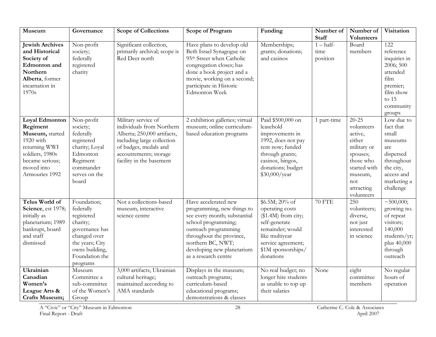| Museum                                                                                                                                            | Governance                                                                                                                                              | <b>Scope of Collections</b>                                                                                                                                                                  | <b>Scope of Program</b>                                                                                                                                                                                                                   | Funding                                                                                                                                                                             | Number of<br><b>Staff</b>        | Number of                                                                                                                                          | Visitation                                                                                                                                               |
|---------------------------------------------------------------------------------------------------------------------------------------------------|---------------------------------------------------------------------------------------------------------------------------------------------------------|----------------------------------------------------------------------------------------------------------------------------------------------------------------------------------------------|-------------------------------------------------------------------------------------------------------------------------------------------------------------------------------------------------------------------------------------------|-------------------------------------------------------------------------------------------------------------------------------------------------------------------------------------|----------------------------------|----------------------------------------------------------------------------------------------------------------------------------------------------|----------------------------------------------------------------------------------------------------------------------------------------------------------|
| <b>Jewish Archives</b><br>and Historical<br>Society of<br><b>Edmonton</b> and<br>Northern<br>Alberta, former<br>incarnation in<br>1970s           | Non-profit<br>society;<br>federally<br>registered<br>charity                                                                                            | Significant collection,<br>primarily archival; scope is<br>Red Deer north                                                                                                                    | Have plans to develop old<br>Beth Israel Synagogue on<br>95 <sup>th</sup> Street when Catholic<br>congregation closes; has<br>done a book project and a<br>movie, working on a second;<br>participate in Historic<br><b>Edmonton Week</b> | Memberships;<br>grants; donations;<br>and casinos                                                                                                                                   | $1 - half$ -<br>time<br>position | Volunteers<br>Board<br>members                                                                                                                     | 122<br>reference<br>inquiries in<br>2006; 500<br>attended<br>film<br>premier;<br>film show<br>to 15<br>community<br>groups                               |
| Loyal Edmonton<br>Regiment<br>Museum, started<br>1920 with<br>returning WWI<br>soldiers, 1980s<br>became serious;<br>moved into<br>Armouries 1992 | Non-profit<br>society;<br>federally<br>registered<br>charity; Loyal<br>Edmonton<br>Regiment<br>commander<br>serves on the<br>board                      | Military service of<br>individuals from Northern<br>Alberta; 250,000 artifacts,<br>including large collection<br>of badges, medals and<br>accoutrements; storage<br>facility in the basement | 2 exhibition galleries; virtual<br>museum; online curriculum-<br>based education programs                                                                                                                                                 | Paid \$500,000 on<br>leasehold<br>improvements in<br>1992, does not pay<br>rent now; funded<br>through grants;<br>casinos, bingos,<br>donations; budget<br>\$30,000/year            | 1 part-time                      | $20 - 25$<br>volunteers<br>active,<br>either<br>military or<br>spouses;<br>those who<br>started with<br>museum,<br>not<br>attracting<br>volunteers | $\overline{\text{Low}}$ due to<br>fact that<br>small<br>museums<br>are<br>dispersed<br>throughout<br>the city,<br>access and<br>marketing a<br>challenge |
| Telus World of<br>Science, est 1978;<br>initially as<br>planetarium; 1989<br>bankrupt, board<br>and staff<br>dismissed                            | Foundation;<br>federally<br>registered<br>charity;<br>governance has<br>changed over<br>the years; City<br>owns building,<br>Foundation the<br>programs | Not a collections-based<br>museum, interactive<br>science centre                                                                                                                             | Have accelerated new<br>programming, new things to<br>see every month; substantial<br>school programming;<br>outreach programming<br>throughout the province,<br>northern BC, NWT;<br>developing new planetarium<br>as a research centre  | $$6.5M; 20\% \text{ of}$<br>operating costs<br>$($1.4M)$ from city;<br>self-generate<br>remainder; would<br>like multiyear<br>service agreement;<br>\$1M sponsorships/<br>donations | <b>70 FTE</b>                    | 250<br>volunteers;<br>diverse,<br>not just<br>interested<br>in science                                                                             | $\overline{~1500,000};$<br>growing no.<br>of repeat<br>visitors;<br>140,000<br>students/yr;<br>plus 40,000<br>through<br>outreach                        |
| Ukrainian<br>Canadian<br>Women's<br>League Arts &<br><b>Crafts Museum;</b>                                                                        | Museum<br>Committee a<br>sub-committee<br>of the Women's<br>Group                                                                                       | 3,000 artifacts, Ukrainian<br>cultural heritage;<br>maintained according to<br>AMA standards                                                                                                 | Displays in the museum;<br>outreach programs;<br>curriculum-based<br>educational programs;<br>demonstrations & classes                                                                                                                    | No real budget; no<br>longer hire students<br>as unable to top up<br>their salaries                                                                                                 | None                             | eight<br>committee<br>members                                                                                                                      | No regular<br>hours of<br>operation                                                                                                                      |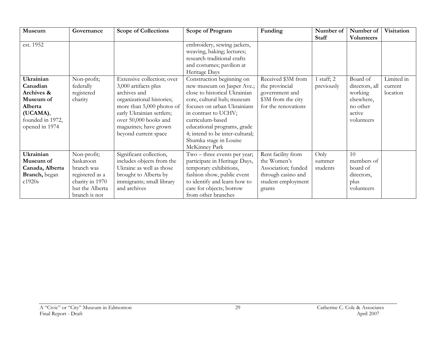| Museum                                                                                                        | Governance                                                                                                       | <b>Scope of Collections</b>                                                                                                                                                                                                         | <b>Scope of Program</b>                                                                                                                                                                                                                                                                                        | Funding                                                                                                        | Number of                  | Number of                                                                               | Visitation                        |
|---------------------------------------------------------------------------------------------------------------|------------------------------------------------------------------------------------------------------------------|-------------------------------------------------------------------------------------------------------------------------------------------------------------------------------------------------------------------------------------|----------------------------------------------------------------------------------------------------------------------------------------------------------------------------------------------------------------------------------------------------------------------------------------------------------------|----------------------------------------------------------------------------------------------------------------|----------------------------|-----------------------------------------------------------------------------------------|-----------------------------------|
| est. 1952                                                                                                     |                                                                                                                  |                                                                                                                                                                                                                                     | embroidery, sewing jackets,<br>weaving, baking; lectures;<br>research traditional crafts<br>and costumes; pavilion at<br>Heritage Days                                                                                                                                                                         |                                                                                                                | <b>Staff</b>               | <b>Volunteers</b>                                                                       |                                   |
| Ukrainian<br>Canadian<br>Archives &<br>Museum of<br>Alberta<br>(UCAMA),<br>founded in 1972,<br>opened in 1974 | Non-profit;<br>federally<br>registered<br>charity                                                                | Extensive collection; over<br>3,000 artifacts plus<br>archives and<br>organizational histories;<br>more than 5,000 photos of<br>early Ukrainian settlers;<br>over 50,000 books and<br>magazines; have grown<br>beyond current space | Construction beginning on<br>new museum on Jasper Ave.;<br>close to historical Ukrainian<br>core, cultural hub; museum<br>focuses on urban Ukrainians<br>in contrast to UCHV;<br>curriculum-based<br>educational programs, grade<br>4; intend to be inter-cultural;<br>Shumka stage in Louise<br>McKinney Park | Received \$3M from<br>the provincial<br>government and<br>\$3M from the city<br>for the renovations            | 1 staff; 2<br>previously   | Board of<br>directors, all<br>working<br>elsewhere,<br>no other<br>active<br>volunteers | Limited in<br>current<br>location |
| Ukrainian<br>Museum of<br>Canada, Alberta<br>Branch, began<br>c1920s                                          | Non-profit;<br>Saskatoon<br>branch was<br>registered as a<br>charity in 1970<br>but the Alberta<br>branch is not | Significant collection,<br>includes objects from the<br>Ukraine as well as those<br>brought to Alberta by<br>immigrants; small library<br>and archives                                                                              | Two - three events per year;<br>participate in Heritage Days,<br>temporary exhibitions,<br>fashion show, public event<br>to identify and learn how to<br>care for objects; borrow<br>from other branches                                                                                                       | Rent facility from<br>the Women's<br>Association; funded<br>through casino and<br>student employment<br>grants | Only<br>summer<br>students | 10<br>members of<br>board of<br>directors,<br>plus<br>volunteers                        |                                   |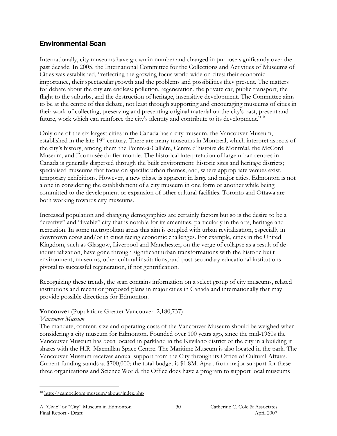# Environmental Scan

Internationally, city museums have grown in number and changed in purpose significantly over the past decade. In 2005, the International Committee for the Collections and Activities of Museums of Cities was established, "reflecting the growing focus world wide on cites: their economic importance, their spectacular growth and the problems and possibilities they present. The matters for debate about the city are endless: pollution, regeneration, the private car, public transport, the flight to the suburbs, and the destruction of heritage, insensitive development. The Committee aims to be at the centre of this debate, not least through supporting and encouraging museums of cities in their work of collecting, preserving and presenting original material on the city's past, present and future, work which can reinforce the city's identity and contribute to its development."<sup>10</sup>

Only one of the six largest cities in the Canada has a city museum, the Vancouver Museum, established in the late  $19<sup>th</sup>$  century. There are many museums in Montreal, which interpret aspects of the city's history, among them the Pointe-à-Callière, Centre d'histoire de Montréal, the McCord Museum, and Écomusée du fier monde. The historical interpretation of large urban centres in Canada is generally dispersed through the built environment: historic sites and heritage districts; specialised museums that focus on specific urban themes; and, where appropriate venues exist, temporary exhibitions. However, a new phase is apparent in large and major cities. Edmonton is not alone in considering the establishment of a city museum in one form or another while being committed to the development or expansion of other cultural facilities. Toronto and Ottawa are both working towards city museums.

Increased population and changing demographics are certainly factors but so is the desire to be a "creative" and "livable" city that is notable for its amenities, particularly in the arts, heritage and recreation. In some metropolitan areas this aim is coupled with urban revitalization, especially in downtown cores and/or in cities facing economic challenges. For example, cities in the United Kingdom, such as Glasgow, Liverpool and Manchester, on the verge of collapse as a result of deindustrialization, have gone through significant urban transformations with the historic built environment, museums, other cultural institutions, and post-secondary educational institutions pivotal to successful regeneration, if not gentrification.

Recognizing these trends, the scan contains information on a select group of city museums, related institutions and recent or proposed plans in major cities in Canada and internationally that may provide possible directions for Edmonton.

#### Vancouver (Population: Greater Vancouver: 2,180,737)

#### Vancouver Museum

The mandate, content, size and operating costs of the Vancouver Museum should be weighed when considering a city museum for Edmonton. Founded over 100 years ago, since the mid-1960s the Vancouver Museum has been located in parkland in the Kitsilano district of the city in a building it shares with the H.R. Macmillan Space Centre. The Maritime Museum is also located in the park. The Vancouver Museum receives annual support from the City through its Office of Cultural Affairs. Current funding stands at \$700,000; the total budget is \$1.8M. Apart from major support for these three organizations and Science World, the Office does have a program to support local museums

 $\overline{a}$ 10 http://camoc.icom.museum/about/index.php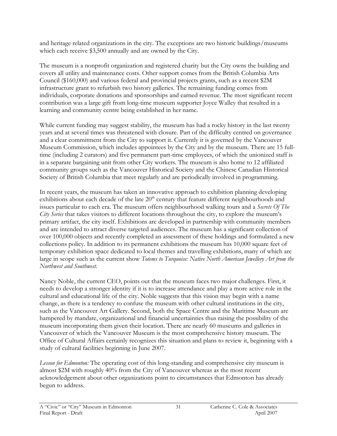and heritage related organizations in the city. The exceptions are two historic buildings/museums which each receive \$3,500 annually and are owned by the City.

The museum is a nonprofit organization and registered charity but the City owns the building and covers all utility and maintenance costs. Other support comes from the British Columbia Arts Council (\$160,000) and various federal and provincial projects grants, such as a recent \$2M infrastructure grant to refurbish two history galleries. The remaining funding comes from individuals, corporate donations and sponsorships and earned revenue. The most significant recent contribution was a large gift from long-time museum supporter Joyce Walley that resulted in a learning and community centre being established in her name.

While current funding may suggest stability, the museum has had a rocky history in the last twenty years and at several times was threatened with closure. Part of the difficulty centred on governance and a clear commitment from the City to support it. Currently it is governed by the Vancouver Museum Commission, which includes appointees by the City and by the museum. There are 15 fulltime (including 2 curators) and five permanent part-time employees, of which the unionized staff is in a separate bargaining unit from other City workers. The museum is also home to 12 affiliated community groups such as the Vancouver Historical Society and the Chinese Canadian Historical Society of British Columbia that meet regularly and are periodically involved in programming.

In recent years, the museum has taken an innovative approach to exhibition planning developing exhibitions about each decade of the late  $20<sup>th</sup>$  century that feature different neighbourhoods and issues particular to each era. The museum offers neighbourhood walking tours and a *Secrets Of The* City Series that takes visitors to different locations throughout the city, to explore the museum's primary artifact, the city itself. Exhibitions are developed in partnership with community members and are intended to attract diverse targeted audiences. The museum has a significant collection of over 100,000 objects and recently completed an assessment of these holdings and formulated a new collections policy. In addition to its permanent exhibitions the museum has 10,000 square feet of temporary exhibition space dedicated to local themes and travelling exhibitions, many of which are large in scope such as the current show Totems to Turquoise: Native North American Jewellery Art from the Northwest and Southwest.

Nancy Noble, the current CEO, points out that the museum faces two major challenges. First, it needs to develop a stronger identity if it is to increase attendance and play a more active role in the cultural and educational life of the city. Noble suggests that this vision may begin with a name change, as there is a tendency to confuse the museum with other cultural institutions in the city, such as the Vancouver Art Gallery. Second, both the Space Centre and the Maritime Museum are hampered by mandate, organizational and financial uncertainties thus raising the possibility of the museum incorporating them given their location. There are nearly 60 museums and galleries in Vancouver of which the Vancouver Museum is the most comprehensive history museum. The Office of Cultural Affairs certainly recognizes this situation and plans to review it, beginning with a study of cultural facilities beginning in June 2007.

Lesson for Edmonton: The operating cost of this long-standing and comprehensive city museum is almost \$2M with roughly 40% from the City of Vancouver whereas as the most recent acknowledgement about other organizations point to circumstances that Edmonton has already begun to address.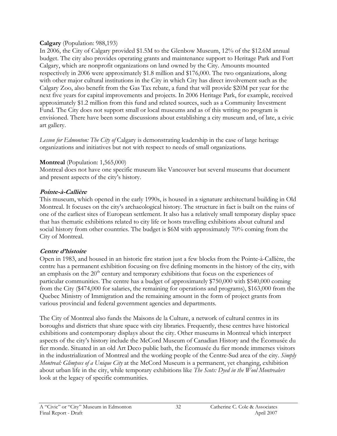#### Calgary (Population: 988,193)

In 2006, the City of Calgary provided \$1.5M to the Glenbow Museum, 12% of the \$12.6M annual budget. The city also provides operating grants and maintenance support to Heritage Park and Fort Calgary, which are nonprofit organizations on land owned by the City. Amounts mounted respectively in 2006 were approximately \$1.8 million and \$176,000. The two organizations, along with other major cultural institutions in the City in which City has direct involvement such as the Calgary Zoo, also benefit from the Gas Tax rebate, a fund that will provide \$20M per year for the next five years for capital improvements and projects. In 2006 Heritage Park, for example, received approximately \$1.2 million from this fund and related sources, such as a Community Investment Fund. The City does not support small or local museums and as of this writing no program is envisioned. There have been some discussions about establishing a city museum and, of late, a civic art gallery.

Lesson for Edmonton: The City of Calgary is demonstrating leadership in the case of large heritage organizations and initiatives but not with respect to needs of small organizations.

### **Montreal** (Population: 1,565,000)

Montreal does not have one specific museum like Vancouver but several museums that document and present aspects of the city's history.

### Pointe-à-Callière

This museum, which opened in the early 1990s, is housed in a signature architectural building in Old Montreal. It focuses on the city's archaeological history. The structure in fact is built on the ruins of one of the earliest sites of European settlement. It also has a relatively small temporary display space that has thematic exhibitions related to city life or hosts travelling exhibitions about cultural and social history from other countries. The budget is \$6M with approximately 70% coming from the City of Montreal.

## Centre d'histoire

Open in 1983, and housed in an historic fire station just a few blocks from the Pointe-à-Callière, the centre has a permanent exhibition focusing on five defining moments in the history of the city, with an emphasis on the  $20<sup>th</sup>$  century and temporary exhibitions that focus on the experiences of particular communities. The centre has a budget of approximately \$750,000 with \$540,000 coming from the City (\$474,000 for salaries, the remaining for operations and programs), \$163,000 from the Quebec Ministry of Immigration and the remaining amount in the form of project grants from various provincial and federal government agencies and departments.

The City of Montreal also funds the Maisons de la Culture, a network of cultural centres in its boroughs and districts that share space with city libraries. Frequently, these centres have historical exhibitions and contemporary displays about the city. Other museums in Montreal which interpret aspects of the city's history include the McCord Museum of Canadian History and the Écomusée du fier monde. Situated in an old Art Deco public bath, the Écomusée du fier monde immerses visitors in the industrialization of Montreal and the working people of the Centre-Sud area of the city. *Simply* Montreal: Glimpses of a Unique City at the McCord Museum is a permanent, yet changing, exhibition about urban life in the city, while temporary exhibitions like The Scots: Dyed in the Wool Montrealers look at the legacy of specific communities.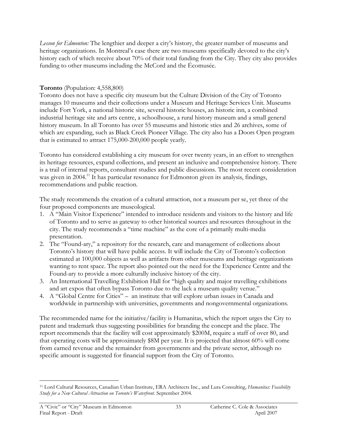Lesson for Edmonton: The lengthier and deeper a city's history, the greater number of museums and heritage organizations. In Montreal's case there are two museums specifically devoted to the city's history each of which receive about 70% of their total funding from the City. They city also provides funding to other museums including the McCord and the Écomusée.

#### Toronto (Population: 4,558,800)

Toronto does not have a specific city museum but the Culture Division of the City of Toronto manages 10 museums and their collections under a Museum and Heritage Services Unit. Museums include Fort York, a national historic site, several historic houses, an historic inn, a combined industrial heritage site and arts centre, a schoolhouse, a rural history museum and a small general history museum. In all Toronto has over 55 museums and historic sties and 26 archives, some of which are expanding, such as Black Creek Pioneer Village. The city also has a Doors Open program that is estimated to attract 175,000-200,000 people yearly.

Toronto has considered establishing a city museum for over twenty years, in an effort to strengthen its heritage resources, expand collections, and present an inclusive and comprehensive history. There is a trail of internal reports, consultant studies and public discussions. The most recent consideration was given in 2004.<sup>11</sup> It has particular resonance for Edmonton given its analysis, findings, recommendations and public reaction.

The study recommends the creation of a cultural attraction, not a museum per se, yet three of the four proposed components are museological.

- 1. A "Main Visitor Experience" intended to introduce residents and visitors to the history and life of Toronto and to serve as gateway to other historical sources and resources throughout in the city. The study recommends a "time machine" as the core of a primarily multi-media presentation.
- 2. The "Found-ary," a repository for the research, care and management of collections about Toronto's history that will have public access. It will include the City of Toronto's collection estimated at 100,000 objects as well as artifacts from other museums and heritage organizations wanting to rent space. The report also pointed out the need for the Experience Centre and the Found-ary to provide a more culturally inclusive history of the city.
- 3. An International Travelling Exhibition Hall for "high quality and major travelling exhibitions and art expos that often bypass Toronto due to the lack a museum quality venue."
- 4. A "Global Centre for Cities" an institute that will explore urban issues in Canada and worldwide in partnership with universities, governments and nongovernmental organizations.

The recommended name for the initiative/facility is Humanitas, which the report urges the City to patent and trademark thus suggesting possibilities for branding the concept and the place. The report recommends that the facility will cost approximately \$200M, require a staff of over 80, and that operating costs will be approximately \$8M per year. It is projected that almost 60% will come from earned revenue and the remainder from governments and the private sector, although no specific amount is suggested for financial support from the City of Toronto.

 $\overline{a}$ <sup>11</sup> Lord Cultural Resources, Canadian Urban Institute, ERA Architects Inc., and Lura Consulting, Humanitas: Feasibility Study for a New Cultural Attraction on Toronto's Waterfront. September 2004.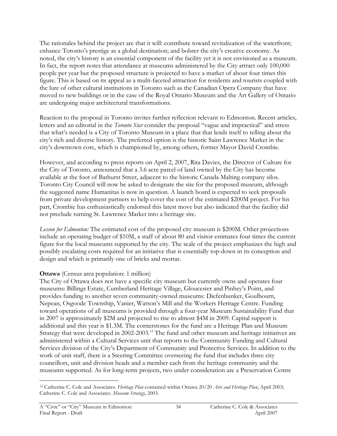The rationales behind the project are that it will: contribute toward revitalization of the waterfront; enhance Toronto's prestige as a global destination; and bolster the city's creative economy. As noted, the city's history is an essential component of the facility yet it is not envisioned as a museum. In fact, the report notes that attendance at museums administered by the City attract only 100,000 people per year but the proposed structure is projected to have a market of about four times this figure. This is based on its appeal as a multi-faceted attraction for residents and tourists coupled with the lure of other cultural institutions in Toronto such as the Canadian Opera Company that have moved to new buildings or in the case of the Royal Ontario Museum and the Art Gallery of Ontario are undergoing major architectural transformations.

Reaction to the proposal in Toronto invites further reflection relevant to Edmonton. Recent articles, letters and an editorial in the Toronto Star consider the proposal "vague and impractical" and stress that what's needed is a City of Toronto Museum in a place that that lends itself to telling about the city's rich and diverse history. The preferred option is the historic Saint Lawrence Market in the city's downtown core, which is championed by, among others, former Mayor David Crombie.

However, and according to press reports on April 2, 2007, Rita Davies, the Director of Culture for the City of Toronto, announced that a 3.6 acre parcel of land owned by the City has become available at the foot of Bathurst Street, adjacent to the historic Canada Malting company silos. Toronto City Council will now be asked to designate the site for the proposed museum, although the suggested name Humanitas is now in question. A launch board is expected to seek proposals from private development partners to help cover the cost of the estimated \$200M project. For his part, Crombie has enthusiastically endorsed this latest move but also indicated that the facility did not preclude turning St. Lawrence Market into a heritage site.

Lesson for Edmonton: The estimated cost of the proposed city museum is \$200M. Other projections include an operating budget of \$10M, a staff of about 80 and visitor estimates four times the current figure for the local museums supported by the city. The scale of the project emphasizes the high and possibly escalating costs required for an initiative that is essentially top-down in its conception and design and which is primarily one of bricks and mortar.

#### Ottawa (Census area population: 1 million)

The City of Ottawa does not have a specific city museum but currently owns and operates four museums: Billings Estate, Cumberland Heritage Village, Gloucester and Pinhey's Point, and provides funding to another seven community-owned museums: Diefenbunker, Goulbourn, Nepean, Osgoode Township, Vanier, Watson's Mill and the Workers Heritage Centre. Funding toward operations of all museums is provided through a four-year Museum Sustainability Fund that in 2007 is approximately \$2M and projected to rise to almost \$4M in 2009. Capital support is additional and this year is \$1.3M. The cornerstones for the fund are a Heritage Plan and Museum Strategy that were developed in 2002-2003.<sup>12</sup> The fund and other museum and heritage initiatives are administered within a Cultural Services unit that reports to the Community Funding and Cultural Services division of the City's Department of Community and Protective Services. In addition to the work of unit staff, there is a Steering Committee overseeing the fund that includes three city councillors, unit and division heads and a member each from the heritage community and the museums supported. As for long-term projects, two under consideration are a Preservation Centre

 $\overline{a}$ <sup>12</sup> Catherine C. Cole and Associates. Heritage Plan contained within Ottawa 20/20 Arts and Heritage Plan, April 2003; Catherine C. Cole and Associates. Museum Strategy, 2003.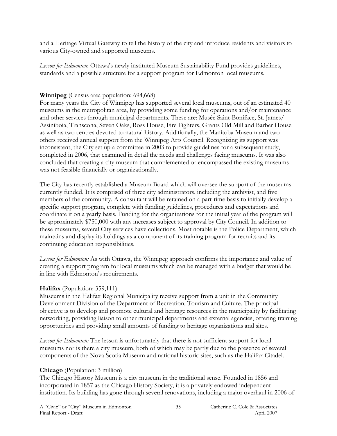and a Heritage Virtual Gateway to tell the history of the city and introduce residents and visitors to various City-owned and supported museums.

Lesson for Edmonton: Ottawa's newly instituted Museum Sustainability Fund provides guidelines, standards and a possible structure for a support program for Edmonton local museums.

### Winnipeg (Census area population: 694,668)

For many years the City of Winnipeg has supported several local museums, out of an estimated 40 museums in the metropolitan area, by providing some funding for operations and/or maintenance and other services through municipal departments. These are: Musée Saint-Boniface, St. James/ Assiniboia, Transcona, Seven Oaks, Ross House, Fire Fighters, Grants Old Mill and Barber House as well as two centres devoted to natural history. Additionally, the Manitoba Museum and two others received annual support from the Winnipeg Arts Council. Recognizing its support was inconsistent, the City set up a committee in 2003 to provide guidelines for a subsequent study, completed in 2006, that examined in detail the needs and challenges facing museums. It was also concluded that creating a city museum that complemented or encompassed the existing museums was not feasible financially or organizationally.

The City has recently established a Museum Board which will oversee the support of the museums currently funded. It is comprised of three city administrators, including the archivist, and five members of the community. A consultant will be retained on a part-time basis to initially develop a specific support program, complete with funding guidelines, procedures and expectations and coordinate it on a yearly basis. Funding for the organizations for the initial year of the program will be approximately \$750,000 with any increases subject to approval by City Council. In addition to these museums, several City services have collections. Most notable is the Police Department, which maintains and display its holdings as a component of its training program for recruits and its continuing education responsibilities.

Lesson for Edmonton: As with Ottawa, the Winnipeg approach confirms the importance and value of creating a support program for local museums which can be managed with a budget that would be in line with Edmonton's requirements.

### Halifax (Population: 359,111)

Museums in the Halifax Regional Municipality receive support from a unit in the Community Development Division of the Department of Recreation, Tourism and Culture. The principal objective is to develop and promote cultural and heritage resources in the municipality by facilitating networking, providing liaison to other municipal departments and external agencies, offering training opportunities and providing small amounts of funding to heritage organizations and sites.

Lesson for Edmonton: The lesson is unfortunately that there is not sufficient support for local museums nor is there a city museum, both of which may be partly due to the presence of several components of the Nova Scotia Museum and national historic sites, such as the Halifax Citadel.

## Chicago (Population: 3 million)

The Chicago History Museum is a city museum in the traditional sense. Founded in 1856 and incorporated in 1857 as the Chicago History Society, it is a privately endowed independent institution. Its building has gone through several renovations, including a major overhaul in 2006 of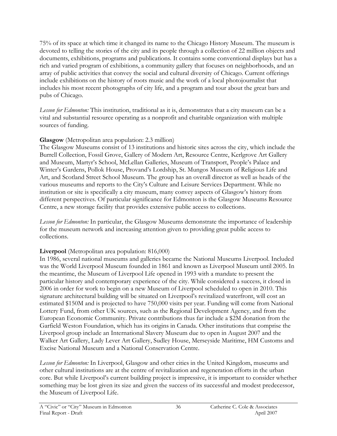75% of its space at which time it changed its name to the Chicago History Museum. The museum is devoted to telling the stories of the city and its people through a collection of 22 million objects and documents, exhibitions, programs and publications. It contains some conventional displays but has a rich and varied program of exhibitions, a community gallery that focuses on neighborhoods, and an array of public activities that convey the social and cultural diversity of Chicago. Current offerings include exhibitions on the history of roots music and the work of a local photojournalist that includes his most recent photographs of city life, and a program and tour about the great bars and pubs of Chicago.

Lesson for Edmonton: This institution, traditional as it is, demonstrates that a city museum can be a vital and substantial resource operating as a nonprofit and charitable organization with multiple sources of funding.

#### Glasgow (Metropolitan area population: 2.3 million)

The Glasgow Museums consist of 13 institutions and historic sites across the city, which include the Burrell Collection, Fossil Grove, Gallery of Modern Art, Resource Centre, Kerlgrove Art Gallery and Museum, Martyr's School, McLellan Galleries, Museum of Transport, People's Palace and Winter's Gardens, Pollok House, Provand's Lordship, St. Mungos Museum of Religious Life and Art, and Scotland Street School Museum. The group has an overall director as well as heads of the various museums and reports to the City's Culture and Leisure Services Department. While no institution or site is specifically a city museum, many convey aspects of Glasgow's history from different perspectives. Of particular significance for Edmonton is the Glasgow Museums Resource Centre, a new storage facility that provides extensive public access to collections.

Lesson for Edmonton: In particular, the Glasgow Museums demonstrate the importance of leadership for the museum network and increasing attention given to providing great public access to collections.

#### Liverpool (Metropolitan area population: 816,000)

In 1986, several national museums and galleries became the National Museums Liverpool. Included was the World Liverpool Museum founded in 1861 and known as Liverpool Museum until 2005. In the meantime, the Museum of Liverpool Life opened in 1993 with a mandate to present the particular history and contemporary experience of the city. While considered a success, it closed in 2006 in order for work to begin on a new Museum of Liverpool scheduled to open in 2010. This signature architectural building will be situated on Liverpool's revitalized waterfront, will cost an estimated \$150M and is projected to have 750,000 visits per year. Funding will come from National Lottery Fund, from other UK sources, such as the Regional Development Agency, and from the European Economic Community. Private contributions thus far include a \$2M donation from the Garfield Weston Foundation, which has its origins in Canada. Other institutions that comprise the Liverpool group include an International Slavery Museum due to open in August 2007 and the Walker Art Gallery, Lady Lever Art Gallery, Sudley House, Merseyside Maritime, HM Customs and Excise National Museum and a National Conservation Centre.

Lesson for Edmonton: In Liverpool, Glasgow and other cities in the United Kingdom, museums and other cultural institutions are at the centre of revitalization and regeneration efforts in the urban core. But while Liverpool's current building project is impressive, it is important to consider whether something may be lost given its size and given the success of its successful and modest predecessor, the Museum of Liverpool Life.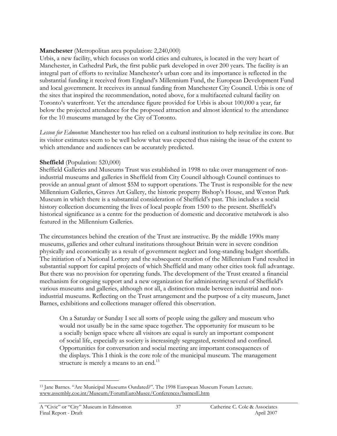#### Manchester (Metropolitan area population: 2,240,000)

Urbis, a new facility, which focuses on world cities and cultures, is located in the very heart of Manchester, in Cathedral Park, the first public park developed in over 200 years. The facility is an integral part of efforts to revitalize Manchester's urban core and its importance is reflected in the substantial funding it received from England's Millennium Fund, the European Development Fund and local government. It receives its annual funding from Manchester City Council. Urbis is one of the sites that inspired the recommendation, noted above, for a multifaceted cultural facility on Toronto's waterfront. Yet the attendance figure provided for Urbis is about 100,000 a year, far below the projected attendance for the proposed attraction and almost identical to the attendance for the 10 museums managed by the City of Toronto.

Lesson for Edmonton: Manchester too has relied on a cultural institution to help revitalize its core. But its visitor estimates seem to be well below what was expected thus raising the issue of the extent to which attendance and audiences can be accurately predicted.

#### Sheffield (Population: 520,000)

Sheffield Galleries and Museums Trust was established in 1998 to take over management of nonindustrial museums and galleries in Sheffield from City Council although Council continues to provide an annual grant of almost \$5M to support operations. The Trust is responsible for the new Millennium Galleries, Graves Art Gallery, the historic property Bishop's House, and Weston Park Museum in which there is a substantial consideration of Sheffield's past. This includes a social history collection documenting the lives of local people from 1500 to the present. Sheffield's historical significance as a centre for the production of domestic and decorative metalwork is also featured in the Millennium Galleries.

The circumstances behind the creation of the Trust are instructive. By the middle 1990s many museums, galleries and other cultural institutions throughout Britain were in severe condition physically and economically as a result of government neglect and long-standing budget shortfalls. The initiation of a National Lottery and the subsequent creation of the Millennium Fund resulted in substantial support for capital projects of which Sheffield and many other cities took full advantage. But there was no provision for operating funds. The development of the Trust created a financial mechanism for ongoing support and a new organization for administering several of Sheffield's various museums and galleries, although not all, a distinction made between industrial and nonindustrial museums. Reflecting on the Trust arrangement and the purpose of a city museum, Janet Barnes, exhibitions and collections manager offered this observation.

On a Saturday or Sunday I see all sorts of people using the gallery and museum who would not usually be in the same space together. The opportunity for museum to be a socially benign space where all visitors are equal is surely an important component of social life, especially as society is increasingly segregated, restricted and confined. Opportunities for conversation and social meeting are important consequences of the displays. This I think is the core role of the municipal museum. The management structure is merely a means to an end.<sup>13</sup>

 $\overline{a}$ <sup>13</sup> Jane Barnes. "Are Municipal Museums Outdated?". The 1998 European Museum Forum Lecture. www.assembly.coe.int/Museum/ForumEuroMusee/Conferences/barnesE.htm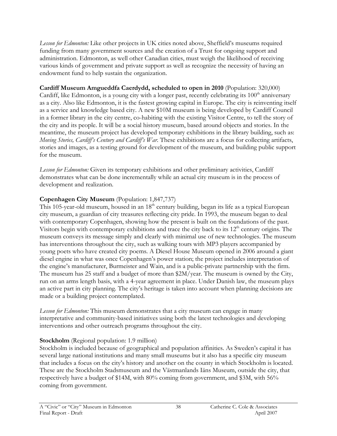Lesson for Edmonton: Like other projects in UK cities noted above, Sheffield's museums required funding from many government sources and the creation of a Trust for ongoing support and administration. Edmonton, as well other Canadian cities, must weigh the likelihood of receiving various kinds of government and private support as well as recognize the necessity of having an endowment fund to help sustain the organization.

#### Cardiff Museum Amgueddfa Caerdydd, scheduled to open in 2010 (Population: 320,000)

Cardiff, like Edmonton, is a young city with a longer past, recently celebrating its  $100<sup>th</sup>$  anniversary as a city. Also like Edmonton, it is the fastest growing capital in Europe. The city is reinventing itself as a service and knowledge based city. A new \$10M museum is being developed by Cardiff Council in a former library in the city centre, co-habiting with the existing Visitor Centre, to tell the story of the city and its people. It will be a social history museum, based around objects and stories. In the meantime, the museum project has developed temporary exhibitions in the library building, such as: Moving Stories, Cardiff's Century and Cardiff's War. These exhibitions are a focus for collecting artifacts, stories and images, as a testing ground for development of the museum, and building public support for the museum.

Lesson for Edmonton: Given its temporary exhibitions and other preliminary activities, Cardiff demonstrates what can be done incrementally while an actual city museum is in the process of development and realization.

#### Copenhagen City Museum (Population: 1,847,737)

This 105-year-old museum, housed in an  $18<sup>th</sup>$  century building, began its life as a typical European city museum, a guardian of city treasures reflecting city pride. In 1993, the museum began to deal with contemporary Copenhagen, showing how the present is built on the foundations of the past. Visitors begin with contemporary exhibitions and trace the city back to its 12<sup>th</sup> century origins. The museum conveys its message simply and clearly with minimal use of new technologies. The museum has interventions throughout the city, such as walking tours with MP3 players accompanied by young poets who have created city poems. A Diesel House Museum opened in 2006 around a giant diesel engine in what was once Copenhagen's power station; the project includes interpretation of the engine's manufacturer, Burmeister and Wain, and is a public-private partnership with the firm. The museum has 25 staff and a budget of more than \$2M/year. The museum is owned by the City, run on an arms length basis, with a 4-year agreement in place. Under Danish law, the museum plays an active part in city planning. The city's heritage is taken into account when planning decisions are made or a building project contemplated.

Lesson for Edmonton: This museum demonstrates that a city museum can engage in many interpretative and community-based initiatives using both the latest technologies and developing interventions and other outreach programs throughout the city.

#### Stockholm (Regional population: 1.9 million)

Stockholm is included because of geographical and population affinities. As Sweden's capital it has several large national institutions and many small museums but it also has a specific city museum that includes a focus on the city's history and another on the county in which Stockholm is located. These are the Stockholm Stadsmuseum and the Västmanlands Iäns Museum, outside the city, that respectively have a budget of \$14M, with 80% coming from government, and \$3M, with 56% coming from government.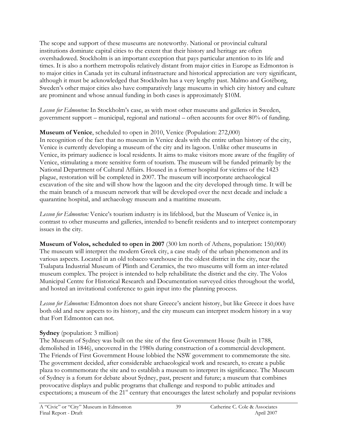The scope and support of these museums are noteworthy. National or provincial cultural institutions dominate capital cities to the extent that their history and heritage are often overshadowed. Stockholm is an important exception that pays particular attention to its life and times. It is also a northern metropolis relatively distant from major cities in Europe as Edmonton is to major cities in Canada yet its cultural infrastructure and historical appreciation are very significant, although it must be acknowledged that Stockholm has a very lengthy past. Malmo and Gotëborg, Sweden's other major cities also have comparatively large museums in which city history and culture are prominent and whose annual funding in both cases is approximately \$10M.

Lesson for Edmonton: In Stockholm's case, as with most other museums and galleries in Sweden, government support – municipal, regional and national – often accounts for over 80% of funding.

#### Museum of Venice, scheduled to open in 2010, Venice (Population: 272,000)

In recognition of the fact that no museum in Venice deals with the entire urban history of the city, Venice is currently developing a museum of the city and its lagoon. Unlike other museums in Venice, its primary audience is local residents. It aims to make visitors more aware of the fragility of Venice, stimulating a more sensitive form of tourism. The museum will be funded primarily by the National Department of Cultural Affairs. Housed in a former hospital for victims of the 1423 plague, restoration will be completed in 2007. The museum will incorporate archaeological excavation of the site and will show how the lagoon and the city developed through time. It will be the main branch of a museum network that will be developed over the next decade and include a quarantine hospital, and archaeology museum and a maritime museum.

Lesson for Edmonton: Venice's tourism industry is its lifeblood, but the Museum of Venice is, in contrast to other museums and galleries, intended to benefit residents and to interpret contemporary issues in the city.

Museum of Volos, scheduled to open in 2007 (300 km north of Athens, population: 150,000) The museum will interpret the modern Greek city, a case study of the urban phenomenon and its various aspects. Located in an old tobacco warehouse in the oldest district in the city, near the Tsalapata Industrial Museum of Plinth and Ceramics, the two museums will form an inter-related museum complex. The project is intended to help rehabilitate the district and the city. The Volos Municipal Centre for Historical Research and Documentation surveyed cities throughout the world, and hosted an invitational conference to gain input into the planning process.

Lesson for Edmonton: Edmonton does not share Greece's ancient history, but like Greece it does have both old and new aspects to its history, and the city museum can interpret modern history in a way that Fort Edmonton can not.

### Sydney (population: 3 million)

The Museum of Sydney was built on the site of the first Government House (built in 1788, demolished in 1846), uncovered in the 1980s during construction of a commercial development. The Friends of First Government House lobbied the NSW government to commemorate the site. The government decided, after considerable archaeological work and research, to create a public plaza to commemorate the site and to establish a museum to interpret its significance. The Museum of Sydney is a forum for debate about Sydney, past, present and future; a museum that combines provocative displays and public programs that challenge and respond to public attitudes and expectations; a museum of the  $21<sup>st</sup>$  century that encourages the latest scholarly and popular revisions